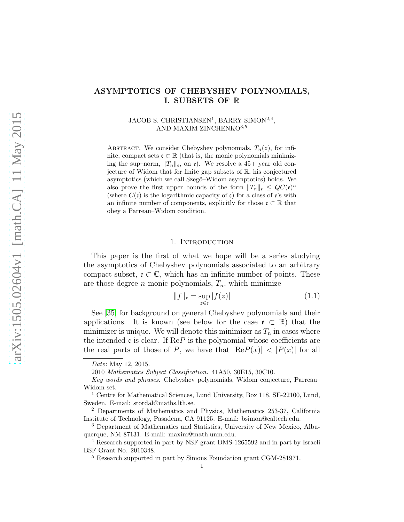## ASYMPTOTICS OF CHEBYSHEV POLYNOMIALS, I. SUBSETS OF R

## JACOB S. CHRISTIANSEN<sup>1</sup>, BARRY SIMON<sup>2,4</sup>, AND MAXIM ZINCHENKO3,<sup>5</sup>

ABSTRACT. We consider Chebyshev polynomials,  $T_n(z)$ , for infinite, compact sets  $\mathfrak{e} \subset \mathbb{R}$  (that is, the monic polynomials minimizing the sup–norm,  $||T_n||_{\mathfrak{e}}$ , on  $\mathfrak{e}$ ). We resolve a 45+ year old conjecture of Widom that for finite gap subsets of R, his conjectured asymptotics (which we call Szegő–Widom asymptotics) holds. We also prove the first upper bounds of the form  $||T_n||_{\mathfrak{e}} \leq QC(\mathfrak{e})^n$ (where  $C(\mathfrak{e})$  is the logarithmic capacity of  $\mathfrak{e}$ ) for a class of  $\mathfrak{e}$ 's with an infinite number of components, explicitly for those  $\mathfrak{e} \subset \mathbb{R}$  that obey a Parreau–Widom condition.

### 1. Introduction

This paper is the first of what we hope will be a series studying the asymptotics of Chebyshev polynomials associated to an arbitrary compact subset,  $\mathfrak{e} \subset \mathbb{C}$ , which has an infinite number of points. These are those degree *n* monic polynomials,  $T_n$ , which minimize

$$
||f||_{\mathfrak{e}} = \sup_{z \in \mathfrak{e}} |f(z)| \tag{1.1}
$$

See [\[35\]](#page-27-0) for background on general Chebyshev polynomials and their applications. It is known (see below for the case  $\mathfrak{e} \subset \mathbb{R}$ ) that the minimizer is unique. We will denote this minimizer as  $T_n$  in cases where the intended  $\mathfrak{e}$  is clear. If ReP is the polynomial whose coefficients are the real parts of those of P, we have that  $|ReP(x)| < |P(x)|$  for all

Date: May 12, 2015.

<sup>2010</sup> Mathematics Subject Classification. 41A50, 30E15, 30C10.

Key words and phrases. Chebyshev polynomials, Widom conjecture, Parreau– Widom set.

<sup>&</sup>lt;sup>1</sup> Centre for Mathematical Sciences, Lund University, Box 118, SE-22100, Lund, Sweden. E-mail: stordal@maths.lth.se.

<sup>2</sup> Departments of Mathematics and Physics, Mathematics 253-37, California Institute of Technology, Pasadena, CA 91125. E-mail: bsimon@caltech.edu.

<sup>3</sup> Department of Mathematics and Statistics, University of New Mexico, Albuquerque, NM 87131. E-mail: maxim@math.unm.edu.

<sup>&</sup>lt;sup>4</sup> Research supported in part by NSF grant DMS-1265592 and in part by Israeli BSF Grant No. 2010348.

<sup>5</sup> Research supported in part by Simons Foundation grant CGM-281971.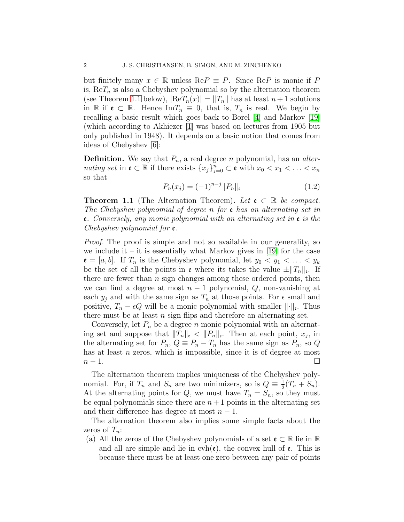but finitely many  $x \in \mathbb{R}$  unless  $\text{Re}P \equiv P$ . Since  $\text{Re}P$  is monic if P is,  $ReT_n$  is also a Chebyshev polynomial so by the alternation theorem (see Theorem [1.1](#page-1-0) below),  $|\text{Re}T_n(x)| = ||T_n||$  has at least  $n+1$  solutions in R if  $\mathfrak{e} \subset \mathbb{R}$ . Hence Im $T_n \equiv 0$ , that is,  $T_n$  is real. We begin by recalling a basic result which goes back to Borel [\[4\]](#page-26-0) and Markov [\[19\]](#page-27-1) (which according to Akhiezer [\[1\]](#page-26-1) was based on lectures from 1905 but only published in 1948). It depends on a basic notion that comes from ideas of Chebyshev [\[6\]](#page-26-2):

**Definition.** We say that  $P_n$ , a real degree n polynomial, has an *alternating set* in  $\mathfrak{e} \subset \mathbb{R}$  if there exists  $\{x_j\}_{j=0}^n \subset \mathfrak{e}$  with  $x_0 < x_1 < \ldots < x_n$ so that

$$
P_n(x_j) = (-1)^{n-j} \|P_n\|_{\mathfrak{e}} \tag{1.2}
$$

<span id="page-1-0"></span>**Theorem 1.1** (The Alternation Theorem). Let  $\mathfrak{e} \subset \mathbb{R}$  be compact. *The Chebyshev polynomial of degree* n *for* e *has an alternating set in* e*. Conversely, any monic polynomial with an alternating set in* e *is the Chebyshev polynomial for* e*.*

*Proof.* The proof is simple and not so available in our generality, so we include it – it is essentially what Markov gives in [\[19\]](#page-27-1) for the case  $\mathfrak{e} = [a, b]$ . If  $T_n$  is the Chebyshev polynomial, let  $y_0 < y_1 < \ldots < y_k$ be the set of all the points in  $\mathfrak{e}$  where its takes the value  $\pm \|T_n\|_{\mathfrak{e}}$ . If there are fewer than  $n$  sign changes among these ordered points, then we can find a degree at most  $n-1$  polynomial,  $Q$ , non-vanishing at each  $y_i$  and with the same sign as  $T_n$  at those points. For  $\epsilon$  small and positive,  $T_n - \epsilon Q$  will be a monic polynomial with smaller  $\|\cdot\|_{\epsilon}$ . Thus there must be at least  $n$  sign flips and therefore an alternating set.

Conversely, let  $P_n$  be a degree n monic polynomial with an alternating set and suppose that  $||T_n||_{\mathfrak{e}} \leq ||P_n||_{\mathfrak{e}}$ . Then at each point,  $x_j$ , in the alternating set for  $P_n$ ,  $Q \equiv P_n - T_n$  has the same sign as  $P_n$ , so Q has at least *n* zeros, which is impossible, since it is of degree at most  $n-1$ .

The alternation theorem implies uniqueness of the Chebyshev polynomial. For, if  $T_n$  and  $S_n$  are two minimizers, so is  $Q = \frac{1}{2}$  $\frac{1}{2}(T_n + S_n).$ At the alternating points for Q, we must have  $T_n = S_n$ , so they must be equal polynomials since there are  $n+1$  points in the alternating set and their difference has degree at most  $n-1$ .

The alternation theorem also implies some simple facts about the zeros of  $T_n$ :

(a) All the zeros of the Chebyshev polynomials of a set  $\mathfrak{e} \subset \mathbb{R}$  lie in  $\mathbb{R}$ and all are simple and lie in  $\mathrm{cvh}(\mathfrak{e})$ , the convex hull of  $\mathfrak{e}$ . This is because there must be at least one zero between any pair of points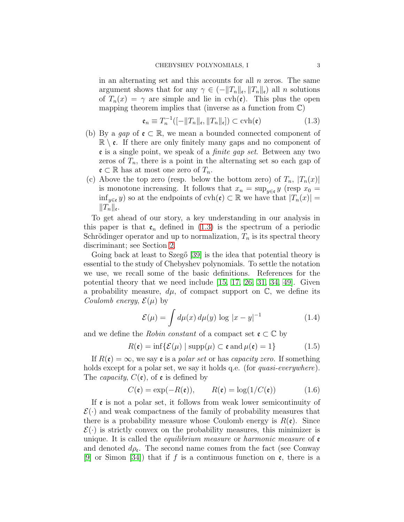in an alternating set and this accounts for all  $n$  zeros. The same argument shows that for any  $\gamma \in (-||T_n||_{\mathfrak{e}}, ||T_n||_{\mathfrak{e}})$  all n solutions of  $T_n(x) = \gamma$  are simple and lie in cvh(c). This plus the open mapping theorem implies that (inverse as a function from  $\mathbb{C}$ )

<span id="page-2-0"></span>
$$
\mathfrak{e}_n \equiv T_n^{-1}([-\|T_n\|_{\mathfrak{e}}, \|T_n\|_{\mathfrak{e}}]) \subset \mathrm{cvh}(\mathfrak{e}) \tag{1.3}
$$

- (b) By a *gap* of  $\mathfrak{e} \subset \mathbb{R}$ , we mean a bounded connected component of  $\mathbb{R} \setminus \mathfrak{e}$ . If there are only finitely many gaps and no component of e is a single point, we speak of a *finite gap set*. Between any two zeros of  $T_n$ , there is a point in the alternating set so each gap of  $\mathfrak{e} \subset \mathbb{R}$  has at most one zero of  $T_n$ .
- (c) Above the top zero (resp. below the bottom zero) of  $T_n$ ,  $|T_n(x)|$ is monotone increasing. It follows that  $x_n = \sup_{y \in \mathfrak{e}} y$  (resp  $x_0 =$ inf<sub>y∈e</sub> y) so at the endpoints of cvh( $\varepsilon$ ) ⊂ R we have that  $|T_n(x)| =$  $||T_n||_{\mathfrak{e}}.$

To get ahead of our story, a key understanding in our analysis in this paper is that  $e_n$  defined in [\(1.3\)](#page-2-0) is the spectrum of a periodic Schrödinger operator and up to normalization,  $T_n$  is its spectral theory discriminant; see Section [2.](#page-8-0)

Going back at least to Szegő [\[39\]](#page-28-0) is the idea that potential theory is essential to the study of Chebyshev polynomials. To settle the notation we use, we recall some of the basic definitions. References for the potential theory that we need include [\[15,](#page-26-3) [17,](#page-27-2) [26,](#page-27-3) [31,](#page-27-4) [34,](#page-27-5) [49\]](#page-28-1). Given a probability measure,  $d\mu$ , of compact support on  $\mathbb{C}$ , we define its *Coulomb energy*,  $\mathcal{E}(\mu)$  by

$$
\mathcal{E}(\mu) = \int d\mu(x) \, d\mu(y) \, \log |x - y|^{-1} \tag{1.4}
$$

and we define the *Robin constant* of a compact set  $\mathfrak{e} \subset \mathbb{C}$  by

$$
R(\mathfrak{e}) = \inf \{ \mathcal{E}(\mu) \mid \mathrm{supp}(\mu) \subset \mathfrak{e} \text{ and } \mu(\mathfrak{e}) = 1 \}
$$
 (1.5)

If  $R(\mathfrak{e}) = \infty$ , we say  $\mathfrak{e}$  is a *polar set* or has *capacity zero*. If something holds except for a polar set, we say it holds q.e. (for *quasi-everywhere*). The *capacity*,  $C(\mathfrak{e})$ , of  $\mathfrak{e}$  is defined by

$$
C(\mathfrak{e}) = \exp(-R(\mathfrak{e})), \qquad R(\mathfrak{e}) = \log(1/C(\mathfrak{e})) \tag{1.6}
$$

If  $\epsilon$  is not a polar set, it follows from weak lower semicontinuity of  $\mathcal{E}(\cdot)$  and weak compactness of the family of probability measures that there is a probability measure whose Coulomb energy is  $R(\mathfrak{e})$ . Since  $\mathcal{E}(\cdot)$  is strictly convex on the probability measures, this minimizer is unique. It is called the *equilibrium measure* or *harmonic measure* of e and denoted  $d\rho_{\rm c}$ . The second name comes from the fact (see Conway [\[9\]](#page-26-4) or Simon [\[34\]](#page-27-5)) that if f is a continuous function on  $\mathfrak{e}$ , there is a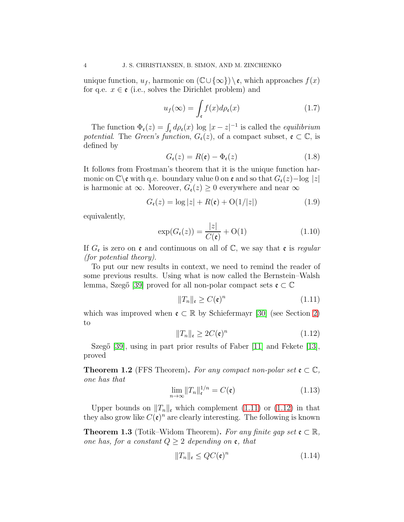unique function,  $u_f$ , harmonic on  $(\mathbb{C}\cup\{\infty\})\setminus\mathfrak{e}$ , which approaches  $f(x)$ for q.e.  $x \in \mathfrak{e}$  (i.e., solves the Dirichlet problem) and

<span id="page-3-6"></span>
$$
u_f(\infty) = \int_{\mathfrak{e}} f(x) d\rho_{\mathfrak{e}}(x) \tag{1.7}
$$

The function  $\Phi_{\epsilon}(z) = \int_{\epsilon} d\rho_{\epsilon}(x) \log |x - z|^{-1}$  is called the *equilibrium potential.* The *Green's function*,  $G_{\epsilon}(z)$ , of a compact subset,  $\epsilon \subset \mathbb{C}$ , is defined by

<span id="page-3-4"></span>
$$
G_{\mathfrak{e}}(z) = R(\mathfrak{e}) - \Phi_{\mathfrak{e}}(z) \tag{1.8}
$$

It follows from Frostman's theorem that it is the unique function harmonic on  $\mathbb{C}\backslash \mathfrak{e}$  with q.e. boundary value 0 on  $\mathfrak{e}$  and so that  $G_{\mathfrak{e}}(z)$  -log  $|z|$ is harmonic at  $\infty$ . Moreover,  $G_{\epsilon}(z) \geq 0$  everywhere and near  $\infty$ 

$$
G_{\mathfrak{e}}(z) = \log|z| + R(\mathfrak{e}) + O(1/|z|)
$$
\n(1.9)

equivalently,

<span id="page-3-3"></span>
$$
\exp(G_{\mathfrak{e}}(z)) = \frac{|z|}{C(\mathfrak{e})} + \mathcal{O}(1) \tag{1.10}
$$

If  $G_{\varepsilon}$  is zero on  $\varepsilon$  and continuous on all of  $\mathbb{C}$ , we say that  $\varepsilon$  is *regular (for potential theory)*.

To put our new results in context, we need to remind the reader of some previous results. Using what is now called the Bernstein–Walsh lemma, Szegő [\[39\]](#page-28-0) proved for all non-polar compact sets  $\mathfrak{e} \subset \mathbb{C}$ 

<span id="page-3-0"></span>
$$
||T_n||_{\mathfrak{e}} \ge C(\mathfrak{e})^n \tag{1.11}
$$

which was improved when  $\mathfrak{e} \subset \mathbb{R}$  by Schiefermayr [\[30\]](#page-27-6) (see Section [2\)](#page-8-0) to

<span id="page-3-1"></span>
$$
||T_n||_{\mathfrak{e}} \ge 2C(\mathfrak{e})^n \tag{1.12}
$$

Szegő [\[39\]](#page-28-0), using in part prior results of Faber [\[11\]](#page-26-5) and Fekete [\[13\]](#page-26-6), proved

<span id="page-3-7"></span>**Theorem 1.2** (FFS Theorem). For any compact non-polar set  $\mathbf{e} \in \mathbb{C}$ , *one has that*

<span id="page-3-5"></span>
$$
\lim_{n \to \infty} ||T_n||_{\mathfrak{e}}^{1/n} = C(\mathfrak{e}) \tag{1.13}
$$

Upper bounds on  $||T_n||_e$  which complement [\(1.11\)](#page-3-0) or [\(1.12\)](#page-3-1) in that they also grow like  $C(\mathfrak{e})^n$  are clearly interesting. The following is known

**Theorem 1.3** (Totik–Widom Theorem). For any finite gap set  $\mathfrak{e} \subset \mathbb{R}$ , *one has, for a constant*  $Q \geq 2$  *depending on*  $e$ *, that* 

<span id="page-3-2"></span>
$$
||T_n||_{\mathfrak{e}} \le QC(\mathfrak{e})^n \tag{1.14}
$$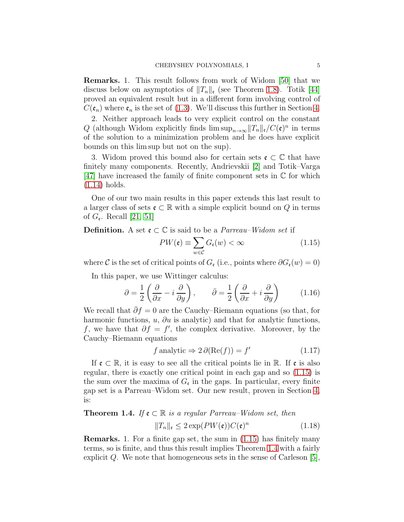Remarks. 1. This result follows from work of Widom [\[50\]](#page-28-2) that we discuss below on asymptotics of  $||T_n||_{\epsilon}$  (see Theorem [1.8\)](#page-7-0). Totik [\[44\]](#page-28-3) proved an equivalent result but in a different form involving control of  $C(\mathfrak{e}_n)$  where  $\mathfrak{e}_n$  is the set of [\(1.3\)](#page-2-0). We'll discuss this further in Section [4.](#page-19-0)

2. Neither approach leads to very explicit control on the constant Q (although Widom explicitly finds  $\limsup_{n\to\infty}||T_n||_{\mathfrak{e}}/C(\mathfrak{e})^n$  in terms of the solution to a minimization problem and he does have explicit bounds on this lim sup but not on the sup).

3. Widom proved this bound also for certain sets  $\mathfrak{e} \subset \mathbb{C}$  that have finitely many components. Recently, Andrievskii [\[2\]](#page-26-7) and Totik–Varga  $[47]$  have increased the family of finite component sets in  $\mathbb C$  for which [\(1.14\)](#page-3-2) holds.

One of our two main results in this paper extends this last result to a larger class of sets  $\mathfrak{e} \subset \mathbb{R}$  with a simple explicit bound on Q in terms of  $G_{\mathfrak{e}}$ . Recall [\[21,](#page-27-7) [51\]](#page-28-5)

**Definition.** A set  $\mathfrak{e} \subset \mathbb{C}$  is said to be a *Parreau–Widom set* if

<span id="page-4-0"></span>
$$
PW(\mathfrak{e}) \equiv \sum_{w \in \mathcal{C}} G_{\mathfrak{e}}(w) < \infty \tag{1.15}
$$

where C is the set of critical points of  $G_{\epsilon}$  (i.e., points where  $\partial G_{\epsilon}(w) = 0$ )

In this paper, we use Wittinger calculus:

<span id="page-4-2"></span>
$$
\partial = \frac{1}{2} \left( \frac{\partial}{\partial x} - i \frac{\partial}{\partial y} \right), \qquad \bar{\partial} = \frac{1}{2} \left( \frac{\partial}{\partial x} + i \frac{\partial}{\partial y} \right) \tag{1.16}
$$

We recall that  $\bar{\partial}f = 0$  are the Cauchy–Riemann equations (so that, for harmonic functions,  $u$ ,  $\partial u$  is analytic) and that for analytic functions, f, we have that  $\partial f = f'$ , the complex derivative. Moreover, by the Cauchy–Riemann equations

<span id="page-4-3"></span>
$$
f \text{ analytic} \Rightarrow 2 \partial(\text{Re}(f)) = f' \tag{1.17}
$$

If  $\mathfrak{e} \subset \mathbb{R}$ , it is easy to see all the critical points lie in  $\mathbb{R}$ . If  $\mathfrak{e}$  is also regular, there is exactly one critical point in each gap and so [\(1.15\)](#page-4-0) is the sum over the maxima of  $G_{\mathfrak{e}}$  in the gaps. In particular, every finite gap set is a Parreau–Widom set. Our new result, proven in Section [4,](#page-19-0) is:

<span id="page-4-4"></span><span id="page-4-1"></span>**Theorem 1.4.** If 
$$
\mathbf{c} \subset \mathbb{R}
$$
 is a regular Parreau-Widom set, then  

$$
||T_n||_{\mathbf{c}} \leq 2 \exp(PW(\mathbf{c}))C(\mathbf{c})^n
$$
(1.18)

Remarks. 1. For a finite gap set, the sum in [\(1.15\)](#page-4-0) has finitely many terms, so is finite, and thus this result implies Theorem [1.4](#page-4-1) with a fairly explicit  $Q$ . We note that homogeneous sets in the sense of Carleson [\[5\]](#page-26-8),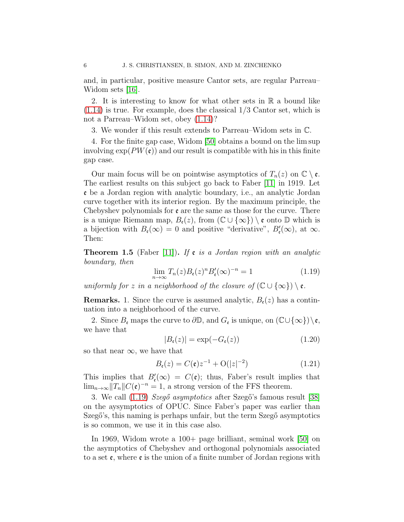and, in particular, positive measure Cantor sets, are regular Parreau– Widom sets [\[16\]](#page-27-8).

2. It is interesting to know for what other sets in  $\mathbb R$  a bound like [\(1.14\)](#page-3-2) is true. For example, does the classical 1/3 Cantor set, which is not a Parreau–Widom set, obey [\(1.14\)](#page-3-2)?

3. We wonder if this result extends to Parreau–Widom sets in C.

4. For the finite gap case, Widom [\[50\]](#page-28-2) obtains a bound on the lim sup involving  $\exp(PW(\mathfrak{e}))$  and our result is compatible with his in this finite gap case.

Our main focus will be on pointwise asymptotics of  $T_n(z)$  on  $\mathbb{C} \setminus \mathfrak{e}$ . The earliest results on this subject go back to Faber [\[11\]](#page-26-5) in 1919. Let e be a Jordan region with analytic boundary, i.e., an analytic Jordan curve together with its interior region. By the maximum principle, the Chebyshev polynomials for  $\mathfrak{e}$  are the same as those for the curve. There is a unique Riemann map,  $B_{\epsilon}(z)$ , from  $(\mathbb{C} \cup {\infty}) \setminus {\epsilon}$  onto  $\mathbb D$  which is a bijection with  $B_{\epsilon}(\infty) = 0$  and positive "derivative",  $B'_{\epsilon}(\infty)$ , at  $\infty$ . Then:

Theorem 1.5 (Faber [\[11\]](#page-26-5)). *If* e *is a Jordan region with an analytic boundary, then*

<span id="page-5-0"></span>
$$
\lim_{n \to \infty} T_n(z) B_{\mathfrak{e}}(z)^n B_{\mathfrak{e}}'(\infty)^{-n} = 1 \tag{1.19}
$$

*uniformly for* z *in a neighborhood of the closure of*  $(\mathbb{C} \cup \{\infty\}) \setminus \mathfrak{e}$ .

**Remarks.** 1. Since the curve is assumed analytic,  $B_{\epsilon}(z)$  has a continuation into a neighborhood of the curve.

2. Since  $B_{\mathfrak{e}}$  maps the curve to  $\partial \mathbb{D}$ , and  $G_{\mathfrak{e}}$  is unique, on  $(\mathbb{C}\cup \{\infty\})\backslash \mathfrak{e}$ , we have that

<span id="page-5-1"></span>
$$
|B_{\mathfrak{e}}(z)| = \exp(-G_{\mathfrak{e}}(z))
$$
\n(1.20)

so that near  $\infty$ , we have that

<span id="page-5-2"></span>
$$
B_{\mathfrak{e}}(z) = C(\mathfrak{e})z^{-1} + O(|z|^{-2})
$$
\n(1.21)

This implies that  $B'_{\epsilon}(\infty) = C(\epsilon)$ ; thus, Faber's result implies that  $\lim_{n\to\infty}||T_n||C(\mathfrak{e})^{-n}=1$ , a strong version of the FFS theorem.

3. We call [\(1.19\)](#page-5-0) *Szegő asymptotics* after Szegő's famous result [\[38\]](#page-28-6) on the aysymptotics of OPUC. Since Faber's paper was earlier than Szegő's, this naming is perhaps unfair, but the term Szegő asymptotics is so common, we use it in this case also.

In 1969, Widom wrote a 100+ page brilliant, seminal work [\[50\]](#page-28-2) on the asymptotics of Chebyshev and orthogonal polynomials associated to a set  $\epsilon$ , where  $\epsilon$  is the union of a finite number of Jordan regions with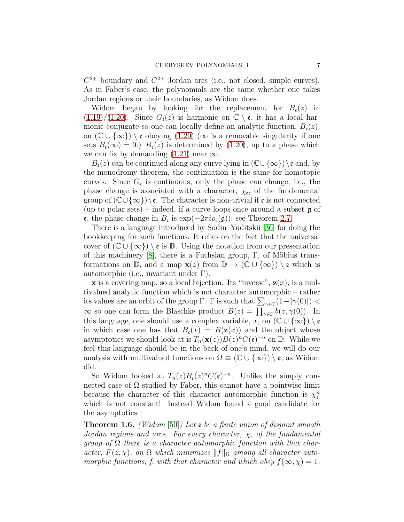$C^{2+}$  boundary and  $C^{2+}$  Jordan arcs (i.e., not closed, simple curves). As in Faber's case, the polynomials are the same whether one takes Jordan regions or their boundaries, as Widom does.

Widom began by looking for the replacement for  $B_{\epsilon}(z)$  in  $(1.19)/(1.20)$  $(1.19)/(1.20)$  $(1.19)/(1.20)$ . Since  $G_{\epsilon}(z)$  is harmonic on  $\mathbb{C} \setminus \epsilon$ , it has a local harmonic conjugate so one can locally define an analytic function,  $B_{\epsilon}(z)$ , on  $(\mathbb{C} \cup {\infty}) \setminus \mathfrak{e}$  obeying  $(1.20)$  ( $\infty$  is a removable singularity if one sets  $B_{\epsilon}(\infty) = 0$ .)  $B_{\epsilon}(z)$  is determined by [\(1.20\)](#page-5-1), up to a phase which we can fix by demanding  $(1.21)$  near  $\infty$ .

 $B_{\epsilon}(z)$  can be continued along any curve lying in  $(\mathbb{C}\cup\{\infty\})\setminus\epsilon$  and, by the monodromy theorem, the continuation is the same for homotopic curves. Since  $G_{\epsilon}$  is continuous, only the phase can change, i.e., the phase change is associated with a character,  $\chi_{\mathfrak{e}}$ , of the fundamental group of  $(\mathbb{C}\cup\{\infty\})\backslash\mathfrak{e}$ . The character is non-trivial if  $\mathfrak{e}$  is not connected (up to polar sets) – indeed, if a curve loops once around a subset  $\mathfrak g$  of **e**, the phase change in  $B_{\epsilon}$  is  $\exp(-2\pi i \rho_{\epsilon}(\mathfrak{g}))$ ; see Theorem [2.7.](#page-14-0)

There is a language introduced by Sodin–Yuditskii [\[36\]](#page-27-9) for doing the bookkeeping for such functions. It relies on the fact that the universal cover of  $(\mathbb{C} \cup {\infty}) \setminus \mathfrak{e}$  is  $\mathbb{D}$ . Using the notation from our presentation of this machinery [\[8\]](#page-26-9), there is a Fuchsian group,  $\Gamma$ , of Möbius transformations on D, and a map  $\mathbf{x}(z)$  from  $\mathbb{D} \to (\mathbb{C} \cup {\infty}) \setminus \mathfrak{e}$  which is automorphic (i.e., invariant under Γ).

**x** is a covering map, so a local bijection. Its "inverse",  $z(x)$ , is a multivalued analytic function which is not character automorphic – rather its values are an orbit of the group  $\Gamma$ .  $\Gamma$  is such that  $\sum_{\gamma \in \Gamma} (1 - |\gamma(0)|) <$  $\infty$  so one can form the Blaschke product  $B(z) = \prod_{\gamma \in \Gamma} b(z, \gamma(0))$ . In this language, one should use a complex variable, x, on  $(\mathbb{C} \cup {\infty}) \setminus e$ in which case one has that  $B_{\epsilon}(x) = B(\mathbf{z}(x))$  and the object whose asymptotics we should look at is  $T_n(\mathbf{x}(z))B(z)^nC(\mathbf{c})^{-n}$  on  $\mathbb{D}$ . While we feel this language should be in the back of one's mind, we will do our analysis with multivalued functions on  $\Omega \equiv (\mathbb{C} \cup {\infty}) \setminus \mathfrak{e}$ , as Widom did.

So Widom looked at  $T_n(z)B_{\epsilon}(z)^nC(\epsilon)^{-n}$ . Unlike the simply connected case of  $\Omega$  studied by Faber, this cannot have a pointwise limit because the character of this character automorphic function is  $\chi_{\mathfrak{e}}^n$ which is not constant! Instead Widom found a good candidate for the asymptotics:

<span id="page-6-0"></span>Theorem 1.6. *(Widom* [\[50\]](#page-28-2)*) Let* e *be a finite union of disjoint smooth Jordan regions and arcs. For every character,* χ*, of the fundamental group of* Ω *there is a character automorphic function with that character,*  $F(z, \chi)$ , on  $\Omega$  *which minimizes*  $||f||_{\Omega}$  *among all character automorphic functions, f, with that character and which obey*  $f(\infty, \chi) = 1$ .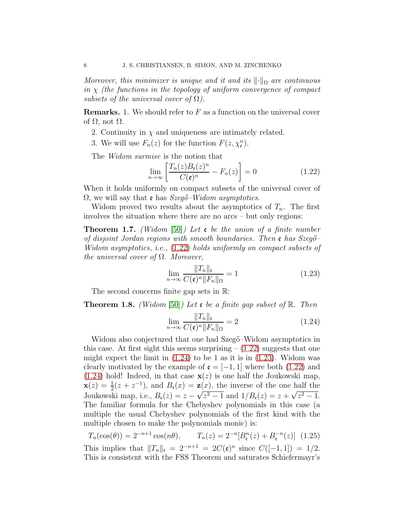*Moreover, this minimizer is unique and it and its*  $\|\cdot\|_{\Omega}$  *are continuous in*  $\chi$  *(the functions in the topology of uniform convergence of compact subsets of the universal cover of*  $\Omega$ *).* 

**Remarks.** 1. We should refer to  $F$  as a function on the universal cover of  $\Omega$ , not  $\Omega$ .

- 2. Continuity in  $\chi$  and uniqueness are intimately related.
- 3. We will use  $F_n(z)$  for the function  $F(z, \chi^n_{\mathfrak{e}})$ .

The *Widom surmise* is the notion that

<span id="page-7-1"></span>
$$
\lim_{n \to \infty} \left[ \frac{T_n(z) B_{\epsilon}(z)^n}{C(\epsilon)^n} - F_n(z) \right] = 0 \tag{1.22}
$$

When it holds uniformly on compact subsets of the universal cover of  $\Omega$ , we will say that **c** has *Szegő–Widom asymptotics*.

Widom proved two results about the asymptotics of  $T_n$ . The first involves the situation where there are no arcs – but only regions:

Theorem 1.7. *(Widom* [\[50\]](#page-28-2)*) Let* e *be the union of a finite number of disjoint Jordan regions with smooth boundaries. Then* e *has Szeg˝o– Widom asymptotics, i.e.,* [\(1.22\)](#page-7-1) *holds uniformly on compact subsets of the universal cover of* Ω*. Moreover,*

<span id="page-7-3"></span>
$$
\lim_{n \to \infty} \frac{\|T_n\|_{\mathfrak{e}}}{C(\mathfrak{e})^n \|F_n\|_{\Omega}} = 1
$$
\n(1.23)

The second concerns finite gap sets in  $\mathbb{R}$ :

<span id="page-7-0"></span>Theorem 1.8. *(Widom* [\[50\]](#page-28-2)*) Let* e *be a finite gap subset of* R*. Then*

<span id="page-7-2"></span>
$$
\lim_{n \to \infty} \frac{\|T_n\|_{\mathfrak{e}}}{C(\mathfrak{e})^n \|F_n\|_{\Omega}} = 2 \tag{1.24}
$$

Widom also conjectured that one had Szegő–Widom asymptotics in this case. At first sight this seems surprising  $- (1.22)$  $- (1.22)$  suggests that one might expect the limit in  $(1.24)$  to be 1 as it is in  $(1.23)$ . Widom was clearly motivated by the example of  $\mathfrak{e} = [-1, 1]$  where both [\(1.22\)](#page-7-1) and  $(1.24)$  hold! Indeed, in that case  $\mathbf{x}(z)$  is one half the Joukowski map,  $\mathbf{x}(z) = \frac{1}{2}(z + z^{-1}),$  and  $B_{\mathfrak{e}}(x) = \mathbf{z}(x)$ , the inverse of the one half the Joukowski map, i.e.,  $B_e(z) = z - \sqrt{z^2 - 1}$  and  $1/B_e(z) = z + \sqrt{z^2 - 1}$ . The familiar formula for the Chebyshev polynomials in this case (a multiple the usual Chebyshev polynomials of the first kind with the multiple chosen to make the polynomials monic) is:

$$
T_n(\cos(\theta)) = 2^{-n+1} \cos(n\theta), \qquad T_n(z) = 2^{-n} [B_{\epsilon}^n(z) + B_{\epsilon}^{-n}(z)] \tag{1.25}
$$
  
This implies that  $||T_n||_{\epsilon} = 2^{-n+1} = 2C(\epsilon)^n$  since  $C([-1, 1]) = 1/2$ .  
This is consistent with the FSS Theorem and saturates Schiefermayr's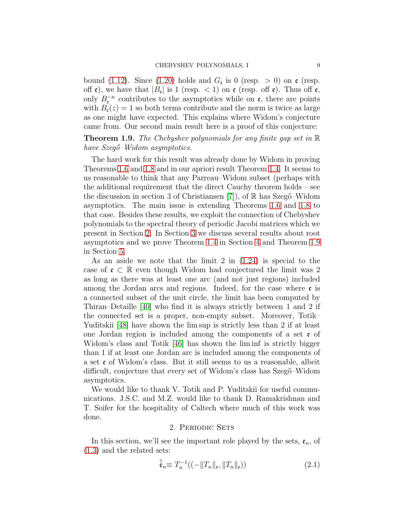bound [\(1.12\)](#page-3-1). Since [\(1.20\)](#page-5-1) holds and  $G_{\mathfrak{e}}$  is 0 (resp.  $> 0$ ) on  $\mathfrak{e}$  (resp. off  $\mathfrak{e}$ ), we have that  $|B_{\mathfrak{e}}|$  is 1 (resp. < 1) on  $\mathfrak{e}$  (resp. off  $\mathfrak{e}$ ). Thus off  $\mathfrak{e}$ , only  $B_{\epsilon}^{-n}$  contributes to the asymptotics while on  $\epsilon$ , there are points with  $B_{\epsilon}(z) = 1$  so both terms contribute and the norm is twice as large as one might have expected. This explains where Widom's conjecture came from. Our second main result here is a proof of this conjecture:

<span id="page-8-1"></span>Theorem 1.9. *The Chebyshev polynomials for any finite gap set in* R *have Szeg˝o–Widom asymptotics.*

The hard work for this result was already done by Widom in proving Theorems [1.6](#page-6-0) and [1.8](#page-7-0) and in our apriori result Theorem [1.4.](#page-4-1) It seems to us reasonable to think that any Parreau–Widom subset (perhaps with the additional requirement that the direct Cauchy theorem holds – see the discussion in section 3 of Christiansen [\[7\]](#page-26-10)), of  $\mathbb R$  has Szeg $\ddot{\circ}$ –Widom asymptotics. The main issue is extending Theorems [1.6](#page-6-0) and [1.8](#page-7-0) to that case. Besides these results, we exploit the connection of Chebyshev polynomials to the spectral theory of periodic Jacobi matrices which we present in Section [2.](#page-8-0) In Section [3](#page-17-0) we discuss several results about root asymptotics and we prove Theorem [1.4](#page-4-1) in Section [4](#page-19-0) and Theorem [1.9](#page-8-1) in Section [5.](#page-20-0)

As an aside we note that the limit 2 in [\(1.24\)](#page-7-2) is special to the case of  $\mathfrak{e} \subset \mathbb{R}$  even though Widom had conjectured the limit was 2 as long as there was at least one arc (and not just regions) included among the Jordan arcs and regions. Indeed, for the case where  $\epsilon$  is a connected subset of the unit circle, the limit has been computed by Thiran–Detaille [\[40\]](#page-28-7) who find it is always strictly between 1 and 2 if the connected set is a proper, non-empty subset. Moreover, Totik– Yuditskii [\[48\]](#page-28-8) have shown the lim sup is strictly less than 2 if at least one Jordan region is included among the components of a set  $\epsilon$  of Widom's class and Totik [\[46\]](#page-28-9) has shown the lim inf is strictly bigger than 1 if at least one Jordan arc is included among the components of a set e of Widom's class. But it still seems to us a reasonable, albeit difficult, conjecture that every set of Widom's class has Szegő–Widom asymptotics.

We would like to thank V. Totik and P. Yuditskii for useful communications. J.S.C. and M.Z. would like to thank D. Ramakrishnan and T. Soifer for the hospitality of Caltech where much of this work was done.

### 2. Periodic Sets

<span id="page-8-0"></span>In this section, we'll see the important role played by the sets,  $e_n$ , of [\(1.3\)](#page-2-0) and the related sets:

<span id="page-8-2"></span>
$$
\stackrel{\circ}{\mathfrak{e}}_{n} \equiv T_{n}^{-1}((-\|T_{n}\|_{\mathfrak{e}}, \|T_{n}\|_{\mathfrak{e}})) \tag{2.1}
$$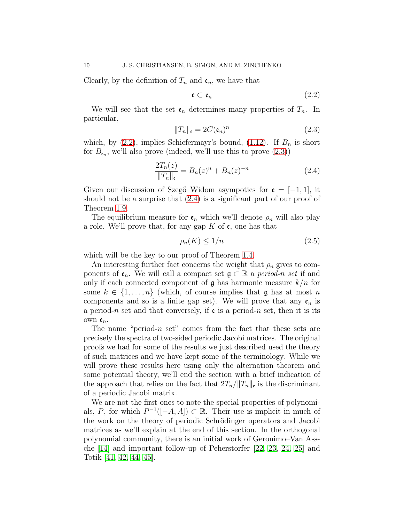Clearly, by the definition of  $T_n$  and  $\mathfrak{e}_n$ , we have that

<span id="page-9-0"></span>
$$
\mathfrak{e} \subset \mathfrak{e}_n \tag{2.2}
$$

We will see that the set  $e_n$  determines many properties of  $T_n$ . In particular,

<span id="page-9-1"></span>
$$
||T_n||_{\mathfrak{e}} = 2C(\mathfrak{e}_n)^n \tag{2.3}
$$

which, by  $(2.2)$ , implies Schiefermayr's bound,  $(1.12)$ . If  $B_n$  is short for  $B_{\mathfrak{e}_n}$ , we'll also prove (indeed, we'll use this to prove  $(2.3)$ )

<span id="page-9-2"></span>
$$
\frac{2T_n(z)}{\|T_n\|_{\mathfrak{e}}} = B_n(z)^n + B_n(z)^{-n} \tag{2.4}
$$

Given our discussion of Szegő–Widom asympotics for  $\mathfrak{e} = [-1, 1]$ , it should not be a surprise that [\(2.4\)](#page-9-2) is a significant part of our proof of Theorem [1.9.](#page-8-1)

The equilibrium measure for  $\mathfrak{e}_n$  which we'll denote  $\rho_n$  will also play a role. We'll prove that, for any gap  $K$  of  $\epsilon$ , one has that

<span id="page-9-3"></span>
$$
\rho_n(K) \le 1/n \tag{2.5}
$$

which will be the key to our proof of Theorem [1.4.](#page-4-1)

An interesting further fact concerns the weight that  $\rho_n$  gives to components of  $\mathfrak{e}_n$ . We will call a compact set  $\mathfrak{g} \subset \mathbb{R}$  a *period-n set* if and only if each connected component of  $\mathfrak g$  has harmonic measure  $k/n$  for some  $k \in \{1, \ldots, n\}$  (which, of course implies that  $\mathfrak g$  has at most n components and so is a finite gap set). We will prove that any  $\mathfrak{e}_n$  is a period-n set and that conversely, if  $\epsilon$  is a period-n set, then it is its own  $\mathfrak{e}_n$ .

The name "period- $n$  set" comes from the fact that these sets are precisely the spectra of two-sided periodic Jacobi matrices. The original proofs we had for some of the results we just described used the theory of such matrices and we have kept some of the terminology. While we will prove these results here using only the alternation theorem and some potential theory, we'll end the section with a brief indication of the approach that relies on the fact that  $2T_n / ||T_n||_{\mathfrak{e}}$  is the discriminant of a periodic Jacobi matrix.

We are not the first ones to note the special properties of polynomials, P, for which  $P^{-1}([-A, A]) \subset \mathbb{R}$ . Their use is implicit in much of the work on the theory of periodic Schrödinger operators and Jacobi matrices as we'll explain at the end of this section. In the orthogonal polynomial community, there is an initial work of Geronimo–Van Assche [\[14\]](#page-26-11) and important follow-up of Peherstorfer [\[22,](#page-27-10) [23,](#page-27-11) [24,](#page-27-12) [25\]](#page-27-13) and Totik [\[41,](#page-28-10) [42,](#page-28-11) [44,](#page-28-3) [45\]](#page-28-12).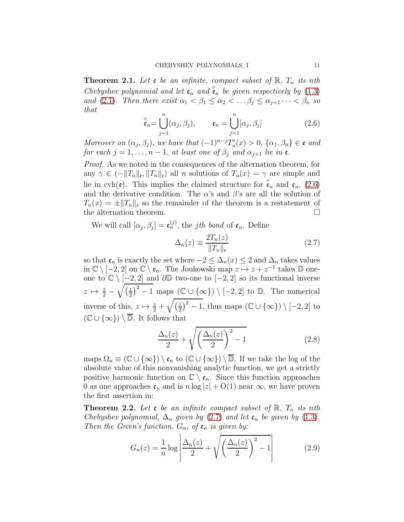**Theorem 2.1.** Let **c** be an infinite, compact subset of  $\mathbb{R}$ ,  $T_n$  its nth *Chebyshev polynomial and let*  $\mathfrak{e}_n$  *and*  $\mathfrak{e}_n$  *be given respectively by* [\(1.3\)](#page-2-0) *and* [\(2.1\)](#page-8-2)*. Then there exist*  $\alpha_1 < \beta_1 \leq \alpha_2 < \dots \beta_j \leq \alpha_{j+1} \dots < \beta_n$  so *that*

<span id="page-10-0"></span>
$$
\stackrel{\circ}{\mathfrak{e}}_{n} = \bigcup_{j=1}^{n} (\alpha_{j}, \beta_{j}), \qquad \mathfrak{e}_{n} = \bigcup_{j=1}^{n} [\alpha_{j}, \beta_{j}] \qquad (2.6)
$$

*Moreover on*  $(\alpha_j, \beta_j)$ *, we have that*  $(-1)^{n-j}T'_n(x) > 0$ ,  $\{\alpha_1, \beta_n\} \in \mathfrak{e}$  and *for each*  $j = 1, ..., n - 1$ *, at least one of*  $\beta_j$  *and*  $\alpha_{j+1}$  *lie in* **e**.

*Proof.* As we noted in the consequences of the alternation theorem, for any  $\gamma \in (-||T_n||_{\epsilon}, ||T_n||_{\epsilon})$  all n solutions of  $T_n(x) = \gamma$  are simple and lie in cvh( $\mathfrak{e}$ ). This implies the claimed structure for  $\hat{\mathfrak{e}}_n$  and  $\mathfrak{e}_n$ , [\(2.6\)](#page-10-0) and the derivative condition. The  $\alpha$ 's and  $\beta$ 's are all the solution of  $T_n(x) = \pm \|T_n\|_{\mathfrak{e}}$  so the remainder of the theorem is a restatement of the alternation theorem. the alternation theorem.

We will call  $[\alpha_j, \beta_j] = \mathfrak{e}_n^{(j)}$ , the *jth band* of  $\mathfrak{e}_n$ . Define

<span id="page-10-1"></span>
$$
\Delta_n(z) \equiv \frac{2T_n(z)}{\|T_n\|_{\mathfrak{e}}} \tag{2.7}
$$

so that  $e_n$  is exactly the set where  $-2 \leq \Delta_n(x) \leq 2$  and  $\Delta_n$  takes values in  $\mathbb{C} \setminus [-2,2]$  on  $\mathbb{C} \setminus \mathfrak{e}_n$ . The Joukowski map  $z \mapsto z + z^{-1}$  takes  $\mathbb D$  oneone to  $\mathbb{C} \setminus [-2,2]$  and ∂D two-one to  $[-2,2]$  so its functional inverse  $z \mapsto \frac{z}{2} - \sqrt{\left(\frac{z}{2}\right)}$  $(\frac{z}{2})^2 - 1$  maps  $(\mathbb{C} \cup {\infty}) \setminus [-2, 2]$  to  $\mathbb{D}$ . The numerical inverse of this,  $z \mapsto \frac{z}{2} + \sqrt{\left(\frac{z}{2}\right)}$  $(\frac{z}{2})^2 - 1$ , thus maps  $(\mathbb{C} \cup {\infty}) \setminus [-2, 2]$  to  $(\mathbb{C} \cup {\infty}) \setminus \overline{\mathbb{D}}$ . It follows that

$$
\frac{\Delta_n(z)}{2} + \sqrt{\left(\frac{\Delta_n(z)}{2}\right)^2 - 1} \tag{2.8}
$$

maps  $\Omega_n \equiv (\mathbb{C} \cup {\infty}) \setminus \mathfrak{e}_n$  to  $(\mathbb{C} \cup {\infty}) \setminus \overline{\mathbb{D}}$ . If we take the log of the absolute value of this nonvanishing analytic function, we get a strictly positive harmonic function on  $\mathbb{C} \setminus \mathfrak{e}_n$ . Since this function approaches 0 as one approaches  $e_n$  and is  $n \log |z| + O(1)$  near  $\infty$ , we have proven the first assertion in:

**Theorem 2.2.** Let **e** be an infinite compact subset of  $\mathbb{R}$ ,  $T_n$  its nth *Chebyshev polynomial,*  $\Delta_n$  *given by* [\(2.7\)](#page-10-1) *and let*  $\mathfrak{e}_n$  *be given by* [\(1.3\)](#page-2-0). *Then the Green's function,*  $G_n$ *, of*  $e_n$  *is given by:* 

<span id="page-10-2"></span>
$$
G_n(z) = \frac{1}{n} \log \left| \frac{\Delta_n(z)}{2} + \sqrt{\left(\frac{\Delta_n(z)}{2}\right)^2 - 1} \right| \tag{2.9}
$$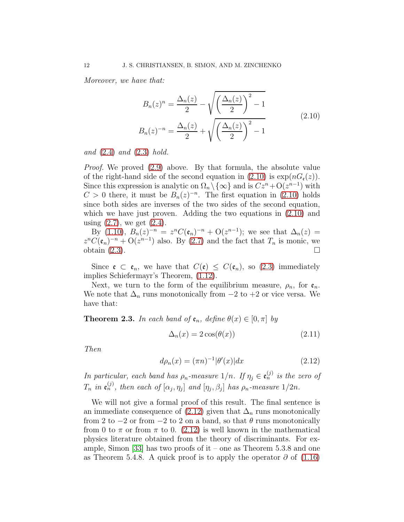<span id="page-11-0"></span>*Moreover, we have that:*

$$
B_n(z)^n = \frac{\Delta_n(z)}{2} - \sqrt{\left(\frac{\Delta_n(z)}{2}\right)^2 - 1}
$$
  
\n
$$
B_n(z)^{-n} = \frac{\Delta_n(z)}{2} + \sqrt{\left(\frac{\Delta_n(z)}{2}\right)^2 - 1}
$$
\n(2.10)

*and* [\(2.4\)](#page-9-2) *and* [\(2.3\)](#page-9-1) *hold.*

*Proof.* We proved [\(2.9\)](#page-10-2) above. By that formula, the absolute value of the right-hand side of the second equation in [\(2.10\)](#page-11-0) is  $\exp(nG_e(z))$ . Since this expression is analytic on  $\Omega_n \setminus \{ \infty \}$  and is  $Cz^n + O(z^{n-1})$  with  $C > 0$  there, it must be  $B_n(z)^{-n}$ . The first equation in [\(2.10\)](#page-11-0) holds since both sides are inverses of the two sides of the second equation, which we have just proven. Adding the two equations in [\(2.10\)](#page-11-0) and using  $(2.7)$ , we get  $(2.4)$ .

By [\(1.10\)](#page-3-3),  $B_n(z)^{-n} = z^n C(\mathfrak{e}_n)^{-n} + O(z^{n-1})$ ; we see that  $\Delta_n(z) =$  $z^n C(\mathfrak{e}_n)^{-n} + O(z^{n-1})$  also. By [\(2.7\)](#page-10-1) and the fact that  $T_n$  is monic, we obtain  $(2.3)$ .

Since  $\mathfrak{e} \subset \mathfrak{e}_n$ , we have that  $C(\mathfrak{e}) \leq C(\mathfrak{e}_n)$ , so [\(2.3\)](#page-9-1) immediately implies Schiefermayr's Theorem, [\(1.12\)](#page-3-1).

Next, we turn to the form of the equilibrium measure,  $\rho_n$ , for  $\mathfrak{e}_n$ . We note that  $\Delta_n$  runs monotonically from  $-2$  to  $+2$  or vice versa. We have that:

<span id="page-11-2"></span>**Theorem 2.3.** *In each band of*  $\mathfrak{e}_n$ , *define*  $\theta(x) \in [0, \pi]$  *by* 

$$
\Delta_n(x) = 2\cos(\theta(x))\tag{2.11}
$$

*Then*

<span id="page-11-1"></span>
$$
d\rho_n(x) = (\pi n)^{-1} |\theta'(x)| dx \tag{2.12}
$$

*In particular, each band has*  $\rho_n$ -measure  $1/n$ . If  $\eta_j \in \mathfrak{e}_n^{(j)}$  is the zero of  $T_n$  in  $\mathfrak{e}_n^{(j)}$ , then each of  $[\alpha_j, \eta_j]$  and  $[\eta_j, \beta_j]$  has  $\rho_n$ -measure  $1/2n$ .

We will not give a formal proof of this result. The final sentence is an immediate consequence of [\(2.12\)](#page-11-1) given that  $\Delta_n$  runs monotonically from 2 to  $-2$  or from  $-2$  to 2 on a band, so that  $\theta$  runs monotonically from 0 to  $\pi$  or from  $\pi$  to 0. [\(2.12\)](#page-11-1) is well known in the mathematical physics literature obtained from the theory of discriminants. For ex-ample, Simon [\[33\]](#page-27-14) has two proofs of it – one as Theorem 5.3.8 and one as Theorem 5.4.8. A quick proof is to apply the operator  $\partial$  of [\(1.16\)](#page-4-2)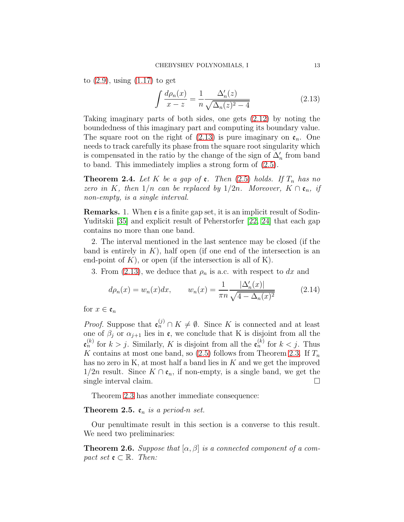to [\(2.9\)](#page-10-2), using [\(1.17\)](#page-4-3) to get

<span id="page-12-0"></span>
$$
\int \frac{d\rho_n(x)}{x-z} = \frac{1}{n} \frac{\Delta'_n(z)}{\sqrt{\Delta_n(z)^2 - 4}} \tag{2.13}
$$

Taking imaginary parts of both sides, one gets [\(2.12\)](#page-11-1) by noting the boundedness of this imaginary part and computing its boundary value. The square root on the right of [\(2.13\)](#page-12-0) is pure imaginary on  $\mathfrak{e}_n$ . One needs to track carefully its phase from the square root singularity which is compensated in the ratio by the change of the sign of  $\Delta'_{n}$  from band to band. This immediately implies a strong form of [\(2.5\)](#page-9-3).

<span id="page-12-3"></span>**Theorem 2.4.** Let K be a gap of **c**. Then  $(2.5)$  holds. If  $T_n$  has no *zero in* K, then  $1/n$  *can be replaced by*  $1/2n$ *. Moreover,*  $K \cap \mathfrak{e}_n$ *, if non-empty, is a single interval.*

**Remarks.** 1. When  $\mathfrak{e}$  is a finite gap set, it is an implicit result of Sodin-Yuditskii [\[35\]](#page-27-0) and explicit result of Peherstorfer [\[22,](#page-27-10) [24\]](#page-27-12) that each gap contains no more than one band.

2. The interval mentioned in the last sentence may be closed (if the band is entirely in  $K$ ), half open (if one end of the intersection is an end-point of  $K$ ), or open (if the intersection is all of  $K$ ).

3. From [\(2.13\)](#page-12-0), we deduce that  $\rho_n$  is a.c. with respect to dx and

<span id="page-12-1"></span>
$$
d\rho_n(x) = w_n(x)dx, \qquad w_n(x) = \frac{1}{\pi n} \frac{|\Delta'_n(x)|}{\sqrt{4 - \Delta_n(x)^2}} \tag{2.14}
$$

for  $x \in \mathfrak{e}_n$ 

*Proof.* Suppose that  $\mathfrak{e}_n^{(j)} \cap K \neq \emptyset$ . Since K is connected and at least one of  $\beta_j$  or  $\alpha_{j+1}$  lies in  $\mathfrak{e}$ , we conclude that K is disjoint from all the  $\mathfrak{e}_n^{(k)}$  for  $k > j$ . Similarly, K is disjoint from all the  $\mathfrak{e}_n^{(k)}$  for  $k < j$ . Thus K contains at most one band, so  $(2.5)$  follows from Theorem [2.3.](#page-11-2) If  $T_n$ has no zero in K, at most half a band lies in K and we get the improved 1/2*n* result. Since  $K \cap \mathfrak{e}_n$ , if non-empty, is a single band, we get the single interval claim.  $\Box$ single interval claim.

Theorem [2.3](#page-11-2) has another immediate consequence:

# **Theorem 2.5.**  $e_n$  *is a period-n set.*

Our penultimate result in this section is a converse to this result. We need two preliminaries:

<span id="page-12-2"></span>**Theorem 2.6.** *Suppose that*  $[\alpha, \beta]$  *is a connected component of a compact set*  $\mathfrak{e} \subset \mathbb{R}$ *. Then:*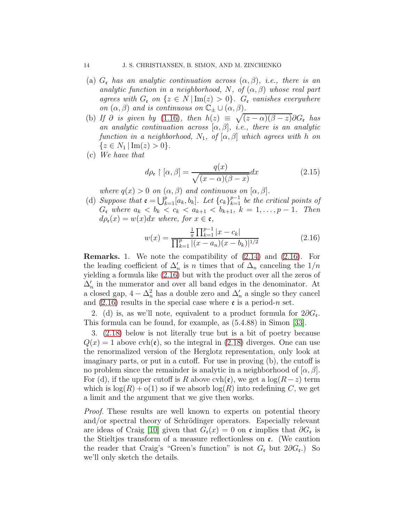- (a)  $G_{\epsilon}$  has an analytic continuation across  $(\alpha, \beta)$ , *i.e.*, there is an *analytic function in a neighborhood,* N, of  $(\alpha, \beta)$  whose real part *agrees with*  $G_{\epsilon}$  *on*  $\{z \in N \mid \text{Im}(z) > 0\}$ *.*  $G_{\epsilon}$  *vanishes everywhere on*  $(\alpha, \beta)$  *and is continuous on*  $\mathbb{C}_{\pm} \cup (\alpha, \beta)$ *.*
- (b) *If*  $\partial$  *is given by* [\(1.16\)](#page-4-2)*, then*  $h(z) \equiv \sqrt{(z-\alpha)(\beta-z)} \partial G_{\epsilon}$  has *an analytic continuation across*  $[\alpha, \beta]$ *, i.e., there is an analytic function in a neighborhood,*  $N_1$ *, of*  $[\alpha, \beta]$  *which agrees with* h *on*  $\{z \in N_1 | \text{Im}(z) > 0\}.$
- (c) *We have that*

$$
d\rho_{\mathfrak{e}} \upharpoonright [\alpha, \beta] = \frac{q(x)}{\sqrt{(x-\alpha)(\beta-x)}} dx \tag{2.15}
$$

*where*  $q(x) > 0$  *on*  $(\alpha, \beta)$  *and continuous on*  $[\alpha, \beta]$ *.* 

(d) Suppose that  $\mathfrak{e} = \bigcup_{k=1}^p [a_k, b_k]$ . Let  $\{c_k\}_{k=1}^{p-1}$  be the critical points of  $G_{\epsilon}$  where  $a_k < b_k < c_k < a_{k+1} < b_{k+1}, k = 1, \ldots, p-1$ . Then  $d\rho_{\mathfrak{e}}(x) = w(x)dx$  where, for  $x \in \mathfrak{e}$ ,

<span id="page-13-0"></span>
$$
w(x) = \frac{\frac{1}{\pi} \prod_{k=1}^{p-1} |x - c_k|}{\prod_{k=1}^{p} |(x - a_n)(x - b_k)|^{1/2}}
$$
(2.16)

Remarks. 1. We note the compatibility of [\(2.14\)](#page-12-1) and [\(2.16\)](#page-13-0). For the leading coefficient of  $\Delta'_{n}$  is n times that of  $\Delta_{n}$  canceling the  $1/n$ yielding a formula like [\(2.16\)](#page-13-0) but with the product over all the zeros of  $\Delta'_n$  in the numerator and over all band edges in the denominator. At a closed gap,  $4 - \Delta_n^2$  has a double zero and  $\Delta'_n$  a single so they cancel and  $(2.16)$  results in the special case where  $\epsilon$  is a period-n set.

2. (d) is, as we'll note, equivalent to a product formula for  $2\partial G_{\epsilon}$ . This formula can be found, for example, as (5.4.88) in Simon [\[33\]](#page-27-14).

3. [\(2.18\)](#page-14-1) below is not literally true but is a bit of poetry because  $Q(x) = 1$  above cvh(c), so the integral in [\(2.18\)](#page-14-1) diverges. One can use the renormalized version of the Herglotz representation, only look at imaginary parts, or put in a cutoff. For use in proving (b), the cutoff is no problem since the remainder is analytic in a neighborhood of  $[\alpha, \beta]$ . For (d), if the upper cutoff is R above cvh( $\mathfrak{e}$ ), we get a  $\log(R-z)$  term which is  $log(R) + o(1)$  so if we absorb  $log(R)$  into redefining C, we get a limit and the argument that we give then works.

*Proof.* These results are well known to experts on potential theory and/or spectral theory of Schrödinger operators. Especially relevant are ideas of Craig [\[10\]](#page-26-12) given that  $G_{\epsilon}(x) = 0$  on  $\epsilon$  implies that  $\partial G_{\epsilon}$  is the Stieltjes transform of a measure reflectionless on  $\mathfrak{e}$ . (We caution the reader that Craig's "Green's function" is not  $G_{\mathfrak{e}}$  but  $2\partial G_{\mathfrak{e}}$ .) So we'll only sketch the details.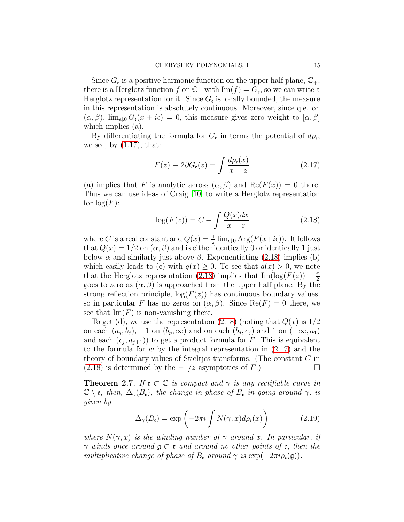Since  $G_{\epsilon}$  is a positive harmonic function on the upper half plane,  $\mathbb{C}_{+}$ , there is a Herglotz function  $f$  on  $\mathbb{C}_+$  with  $\text{Im}(f) = G_{\mathfrak{e}}$ , so we can write a Herglotz representation for it. Since  $G_{\mathfrak{e}}$  is locally bounded, the measure in this representation is absolutely continuous. Moreover, since q.e. on  $(\alpha, \beta)$ ,  $\lim_{\epsilon \downarrow 0} G_{\epsilon}(x + i\epsilon) = 0$ , this measure gives zero weight to  $[\alpha, \beta]$ which implies (a).

By differentiating the formula for  $G_{\mathfrak{e}}$  in terms the potential of  $d\rho_{\mathfrak{e}}$ , we see, by  $(1.17)$ , that:

<span id="page-14-2"></span>
$$
F(z) \equiv 2\partial G_{\epsilon}(z) = \int \frac{d\rho_{\epsilon}(x)}{x - z} \tag{2.17}
$$

(a) implies that F is analytic across  $(\alpha, \beta)$  and  $\text{Re}(F(x)) = 0$  there. Thus we can use ideas of Craig [\[10\]](#page-26-12) to write a Herglotz representation for  $log(F)$ :

<span id="page-14-1"></span>
$$
\log(F(z)) = C + \int \frac{Q(x)dx}{x - z} \tag{2.18}
$$

where C is a real constant and  $Q(x) = \frac{1}{\pi} \lim_{\epsilon \downarrow 0} \text{Arg}(F(x+i\epsilon))$ . It follows that  $Q(x) = 1/2$  on  $(\alpha, \beta)$  and is either identically 0 or identically 1 just below  $\alpha$  and similarly just above  $\beta$ . Exponentiating [\(2.18\)](#page-14-1) implies (b) which easily leads to (c) with  $q(x) \geq 0$ . To see that  $q(x) > 0$ , we note that the Herglotz representation [\(2.18\)](#page-14-1) implies that  $\text{Im}(\log(F(z)) - \frac{\pi}{2})$ 2 goes to zero as  $(\alpha, \beta)$  is approached from the upper half plane. By the strong reflection principle,  $log(F(z))$  has continuous boundary values, so in particular F has no zeros on  $(\alpha, \beta)$ . Since  $\text{Re}(F) = 0$  there, we see that  $\text{Im}(F)$  is non-vanishing there.

To get (d), we use the representation [\(2.18\)](#page-14-1) (noting that  $Q(x)$  is  $1/2$ on each  $(a_j, b_j)$ ,  $-1$  on  $(b_p, \infty)$  and on each  $(b_j, c_j)$  and 1 on  $(-\infty, a_1)$ and each  $(c_j, a_{j+1})$  to get a product formula for F. This is equivalent to the formula for  $w$  by the integral representation in  $(2.17)$  and the theory of boundary values of Stieltjes transforms. (The constant C in  $(2.18)$  is determined by the  $-1/z$  asymptotics of F.)

<span id="page-14-0"></span>**Theorem 2.7.** *If*  $\mathfrak{e} \subset \mathbb{C}$  *is compact and*  $\gamma$  *is any rectifiable curve in*  $\mathbb{C} \setminus \mathfrak{e}$ *, then,*  $\Delta_{\gamma}(B_{\mathfrak{e}})$ *, the change in phase of*  $B_{\mathfrak{e}}$  *in going around*  $\gamma$ *, is given by*

<span id="page-14-3"></span>
$$
\Delta_{\gamma}(B_{\mathfrak{e}}) = \exp\left(-2\pi i \int N(\gamma, x) d\rho_{\mathfrak{e}}(x)\right) \tag{2.19}
$$

*where*  $N(\gamma, x)$  *is the winding number of*  $\gamma$  *around x. In particular, if* γ *winds once around* g ⊂ e *and around no other points of* e*, then the multiplicative change of phase of*  $B_e$  *around*  $\gamma$  *is* exp( $-2\pi i \rho_e(\mathfrak{g})$ ).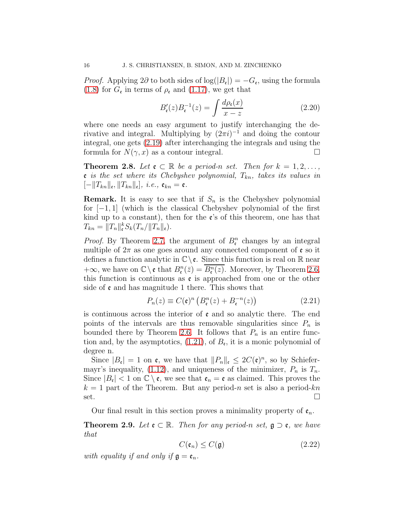*Proof.* Applying 2∂ to both sides of  $log(|B_{\epsilon}|) = -G_{\epsilon}$ , using the formula  $(1.8)$  for  $G_{\mathfrak{e}}$  in terms of  $\rho_{\mathfrak{e}}$  and  $(1.17)$ , we get that

$$
B'_{\mathfrak{e}}(z)B_{\mathfrak{e}}^{-1}(z) = \int \frac{d\rho_{\mathfrak{e}}(x)}{x - z} \tag{2.20}
$$

where one needs an easy argument to justify interchanging the derivative and integral. Multiplying by  $(2\pi i)^{-1}$  and doing the contour integral, one gets [\(2.19\)](#page-14-3) after interchanging the integrals and using the formula for  $N(\gamma, x)$  as a contour integral.

<span id="page-15-1"></span>**Theorem 2.8.** Let  $\mathfrak{e} \subset \mathbb{R}$  be a period-n set. Then for  $k = 1, 2, \ldots$ ,  $\epsilon$  *is the set where its Chebyshev polynomial,*  $T_{kn}$ *, takes its values in*  $[-\|T_{kn}\|_{\mathfrak{e}}, \|T_{kn}\|_{\mathfrak{e}}], \ i.e., \ \mathfrak{e}_{kn} = \mathfrak{e}.$ 

**Remark.** It is easy to see that if  $S_n$  is the Chebyshev polynomial for [−1, 1] (which is the classical Chebyshev polynomial of the first kind up to a constant), then for the  $e$ 's of this theorem, one has that  $T_{kn} = ||T_n||_{\mathfrak{e}}^k S_k(T_n/||T_n||_{\mathfrak{e}}).$ 

*Proof.* By Theorem [2.7,](#page-14-0) the argument of  $B_{\epsilon}^{n}$  changes by an integral multiple of  $2\pi$  as one goes around any connected component of  $\mathfrak{e}$  so it defines a function analytic in  $\mathbb{C}\backslash\mathfrak{e}$ . Since this function is real on R near  $+\infty$ , we have on  $\mathbb{C}\setminus\mathfrak{e}$  that  $B_{\mathfrak{e}}^n(\bar{z})=\overline{B_{\mathfrak{e}}^n(z)}$ . Moreover, by Theorem [2.6,](#page-12-2) this function is continuous as  $\epsilon$  is approached from one or the other side of  $\epsilon$  and has magnitude 1 there. This shows that

$$
P_n(z) \equiv C(\mathfrak{e})^n \left( B_{\mathfrak{e}}^n(z) + B_{\mathfrak{e}}^{-n}(z) \right) \tag{2.21}
$$

is continuous across the interior of  $\epsilon$  and so analytic there. The end points of the intervals are thus removable singularities since  $P_n$  is bounded there by Theorem [2.6.](#page-12-2) It follows that  $P_n$  is an entire function and, by the asymptotics,  $(1.21)$ , of  $B_{\epsilon}$ , it is a monic polynomial of degree n.

Since  $|B_{\mathfrak{e}}| = 1$  on  $\mathfrak{e}$ , we have that  $||P_n||_{\mathfrak{e}} \leq 2C(\mathfrak{e})^n$ , so by Schiefer-mayr's inequality, [\(1.12\)](#page-3-1), and uniqueness of the minimizer,  $P_n$  is  $T_n$ . Since  $|B_{\mathfrak{e}}| < 1$  on  $\mathbb{C} \setminus \mathfrak{e}$ , we see that  $\mathfrak{e}_n = \mathfrak{e}$  as claimed. This proves the  $k = 1$  part of the Theorem. But any period-n set is also a period-kn set.

Our final result in this section proves a minimality property of  $\mathfrak{e}_n$ .

Theorem 2.9. *Let*  $\mathfrak{e} \subset \mathbb{R}$ *. Then for any period-n set,*  $\mathfrak{g} \supset \mathfrak{e}$ *, we have that*

<span id="page-15-0"></span>
$$
C(\mathfrak{e}_n) \le C(\mathfrak{g}) \tag{2.22}
$$

*with equality if and only if*  $\mathfrak{g} = \mathfrak{e}_n$ *.*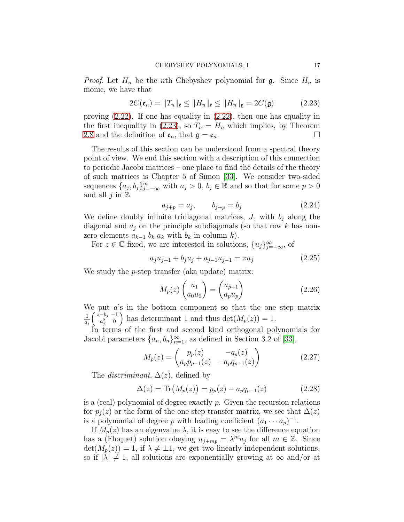*Proof.* Let  $H_n$  be the *n*th Chebyshev polynomial for  $\mathfrak{g}$ . Since  $H_n$  is monic, we have that

<span id="page-16-0"></span>
$$
2C(\mathfrak{e}_n) = ||T_n||_{\mathfrak{e}} \le ||H_n||_{\mathfrak{e}} \le ||H_n||_{\mathfrak{g}} = 2C(\mathfrak{g}) \tag{2.23}
$$

proving [\(2.22\)](#page-15-0). If one has equality in [\(2.22\)](#page-15-0), then one has equality in the first inequality in [\(2.23\)](#page-16-0), so  $T_n = H_n$  which implies, by Theorem [2.8](#page-15-1) and the definition of  $\mathfrak{e}_n$ , that  $\mathfrak{g} = \mathfrak{e}_n$ .

The results of this section can be understood from a spectral theory point of view. We end this section with a description of this connection to periodic Jacobi matrices – one place to find the details of the theory of such matrices is Chapter 5 of Simon [\[33\]](#page-27-14). We consider two-sided sequences  $\{a_j, b_j\}_{j=-\infty}^{\infty}$  with  $a_j > 0, b_j \in \mathbb{R}$  and so that for some  $p > 0$ and all  $j$  in  $\mathbb Z$ 

$$
a_{j+p} = a_j, \t b_{j+p} = b_j \t (2.24)
$$

We define doubly infinite tridiagonal matrices,  $J$ , with  $b_j$  along the diagonal and  $a_j$  on the principle subdiagonals (so that row k has nonzero elements  $a_{k-1}$   $b_k$   $a_k$  with  $b_k$  in column k).

For  $z \in \mathbb{C}$  fixed, we are interested in solutions,  $\{u_j\}_{j=-\infty}^{\infty}$ , of

$$
a_j u_{j+1} + b_j u_j + a_{j-1} u_{j-1} = z u_j \tag{2.25}
$$

We study the *p*-step transfer (aka update) matrix:

$$
M_p(z) \begin{pmatrix} u_1 \\ a_0 u_0 \end{pmatrix} = \begin{pmatrix} u_{p+1} \\ a_p u_p \end{pmatrix}
$$
 (2.26)

We put  $a$ 's in the bottom component so that the one step matrix 1  $a_j$  $\int z-b_j -1$  $a_j^2$  0 ) has determinant 1 and thus  $\det(M_p(z)) = 1$ .

In terms of the first and second kind orthogonal polynomials for Jacobi parameters  $\{a_n, b_n\}_{n=1}^{\infty}$ , as defined in Section 3.2 of [\[33\]](#page-27-14),

$$
M_p(z) = \begin{pmatrix} p_p(z) & -q_p(z) \\ a_p p_{p-1}(z) & -a_p q_{p-1}(z) \end{pmatrix}
$$
 (2.27)

The *discriminant*, ∆(z), defined by

$$
\Delta(z) = \text{Tr}(M_p(z)) = p_p(z) - a_p q_{p-1}(z)
$$
\n(2.28)

is a (real) polynomial of degree exactly  $p$ . Given the recursion relations for  $p_i(z)$  or the form of the one step transfer matrix, we see that  $\Delta(z)$ is a polynomial of degree p with leading coefficient  $(a_1 \cdots a_p)^{-1}$ .

If  $M_p(z)$  has an eigenvalue  $\lambda$ , it is easy to see the difference equation has a (Floquet) solution obeying  $u_{j+mp} = \lambda^m u_j$  for all  $m \in \mathbb{Z}$ . Since  $\det(M_p(z)) = 1$ , if  $\lambda \neq \pm 1$ , we get two linearly independent solutions, so if  $|\lambda| \neq 1$ , all solutions are exponentially growing at  $\infty$  and/or at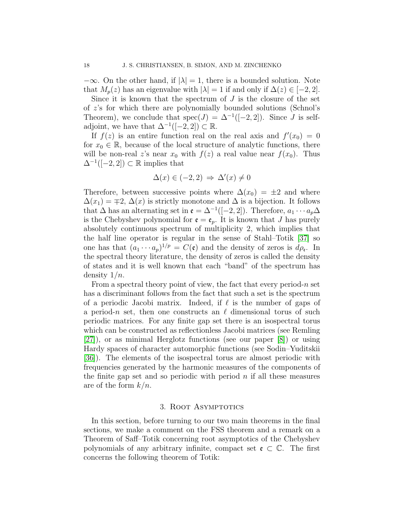$-\infty$ . On the other hand, if  $|\lambda| = 1$ , there is a bounded solution. Note that  $M_p(z)$  has an eigenvalue with  $|\lambda|=1$  if and only if  $\Delta(z) \in [-2,2]$ .

Since it is known that the spectrum of  $J$  is the closure of the set of z's for which there are polynomially bounded solutions (Schnol's Theorem), we conclude that  $\text{spec}(J) = \Delta^{-1}([-2, 2])$ . Since J is selfadjoint, we have that  $\Delta^{-1}([-2, 2]) \subset \mathbb{R}$ .

If  $f(z)$  is an entire function real on the real axis and  $f'(x_0) = 0$ for  $x_0 \in \mathbb{R}$ , because of the local structure of analytic functions, there will be non-real z's near  $x_0$  with  $f(z)$  a real value near  $f(x_0)$ . Thus  $\Delta^{-1}([-2, 2]) \subset \mathbb{R}$  implies that

$$
\Delta(x) \in (-2,2) \Rightarrow \Delta'(x) \neq 0
$$

Therefore, between successive points where  $\Delta(x_0) = \pm 2$  and where  $\Delta(x_1) = \pm 2$ ,  $\Delta(x)$  is strictly monotone and  $\Delta$  is a bijection. It follows that  $\Delta$  has an alternating set in  $\mathfrak{e} = \Delta^{-1}([-2, 2])$ . Therefore,  $a_1 \cdots a_p \Delta$ is the Chebyshev polynomial for  $\mathfrak{e} = \mathfrak{e}_p$ . It is known that J has purely absolutely continuous spectrum of multiplicity 2, which implies that the half line operator is regular in the sense of Stahl–Totik [\[37\]](#page-28-13) so one has that  $(a_1 \cdots a_p)^{1/p} = C(\mathfrak{e})$  and the density of zeros is  $d\rho_{\mathfrak{e}}$ . In the spectral theory literature, the density of zeros is called the density of states and it is well known that each "band" of the spectrum has density  $1/n$ .

From a spectral theory point of view, the fact that every period- $n$  set has a discriminant follows from the fact that such a set is the spectrum of a periodic Jacobi matrix. Indeed, if  $\ell$  is the number of gaps of a period-n set, then one constructs an  $\ell$  dimensional torus of such periodic matrices. For any finite gap set there is an isospectral torus which can be constructed as reflectionless Jacobi matrices (see Remling [\[27\]](#page-27-15)), or as minimal Herglotz functions (see our paper [\[8\]](#page-26-9)) or using Hardy spaces of character automorphic functions (see Sodin–Yuditskii [\[36\]](#page-27-9)). The elements of the isospectral torus are almost periodic with frequencies generated by the harmonic measures of the components of the finite gap set and so periodic with period  $n$  if all these measures are of the form  $k/n$ .

#### 3. Root Asymptotics

<span id="page-17-0"></span>In this section, before turning to our two main theorems in the final sections, we make a comment on the FSS theorem and a remark on a Theorem of Saff–Totik concerning root asymptotics of the Chebyshev polynomials of any arbitrary infinite, compact set  $\mathfrak{e} \subset \mathbb{C}$ . The first concerns the following theorem of Totik: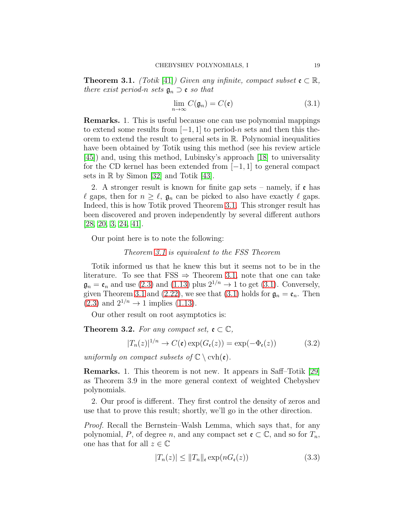<span id="page-18-0"></span>**Theorem 3.1.** *(Totik* [\[41\]](#page-28-10)*) Given any infinite, compact subset*  $\mathfrak{e} \subset \mathbb{R}$ *, there exist period-n sets*  $\mathfrak{g}_n \supset \mathfrak{e}$  *so that* 

<span id="page-18-1"></span>
$$
\lim_{n \to \infty} C(\mathfrak{g}_n) = C(\mathfrak{e}) \tag{3.1}
$$

Remarks. 1. This is useful because one can use polynomial mappings to extend some results from  $[-1, 1]$  to period-*n* sets and then this theorem to extend the result to general sets in  $\mathbb{R}$ . Polynomial inequalities have been obtained by Totik using this method (see his review article [\[45\]](#page-28-12)) and, using this method, Lubinsky's approach [\[18\]](#page-27-16) to universality for the CD kernel has been extended from [−1, 1] to general compact sets in  $\mathbb R$  by Simon [\[32\]](#page-27-17) and Totik [\[43\]](#page-28-14).

2. A stronger result is known for finite gap sets – namely, if  $\epsilon$  has  $\ell$  gaps, then for  $n \geq \ell$ ,  $\mathfrak{g}_n$  can be picked to also have exactly  $\ell$  gaps. Indeed, this is how Totik proved Theorem [3.1.](#page-18-0) This stronger result has been discovered and proven independently by several different authors  $[28, 20, 3, 24, 41].$  $[28, 20, 3, 24, 41].$  $[28, 20, 3, 24, 41].$  $[28, 20, 3, 24, 41].$  $[28, 20, 3, 24, 41].$  $[28, 20, 3, 24, 41].$ 

Our point here is to note the following:

*Theorem [3.1](#page-18-0) is equivalent to the FSS Theorem*

Totik informed us that he knew this but it seems not to be in the literature. To see that  $FSS \Rightarrow$  Theorem [3.1,](#page-18-0) note that one can take  $\mathfrak{g}_n = \mathfrak{e}_n$  and use [\(2.3\)](#page-9-1) and [\(1.13\)](#page-3-5) plus  $2^{1/n} \to 1$  to get [\(3.1\)](#page-18-1). Conversely, given Theorem [3.1](#page-18-0) and [\(2.22\)](#page-15-0), we see that [\(3.1\)](#page-18-1) holds for  $\mathfrak{g}_n = \mathfrak{e}_n$ . Then  $(2.3)$  and  $2^{1/n} \to 1$  implies  $(1.13)$ .

Our other result on root asymptotics is:

**Theorem 3.2.** For any compact set,  $\mathfrak{e} \subset \mathbb{C}$ ,

$$
|T_n(z)|^{1/n} \to C(\mathfrak{e}) \exp(G_{\mathfrak{e}}(z)) = \exp(-\Phi_{\mathfrak{e}}(z))
$$
 (3.2)

*uniformly on compact subsets of*  $\mathbb{C} \setminus \text{cvh}(\mathfrak{e})$ *.* 

Remarks. 1. This theorem is not new. It appears in Saff–Totik [\[29\]](#page-27-20) as Theorem 3.9 in the more general context of weighted Chebyshev polynomials.

2. Our proof is different. They first control the density of zeros and use that to prove this result; shortly, we'll go in the other direction.

*Proof.* Recall the Bernstein–Walsh Lemma, which says that, for any polynomial, P, of degree n, and any compact set  $\mathfrak{e} \subset \mathbb{C}$ , and so for  $T_n$ , one has that for all  $z \in \mathbb{C}$ 

<span id="page-18-2"></span>
$$
|T_n(z)| \le ||T_n||_{\mathfrak{e}} \exp(nG_{\mathfrak{e}}(z))
$$
\n(3.3)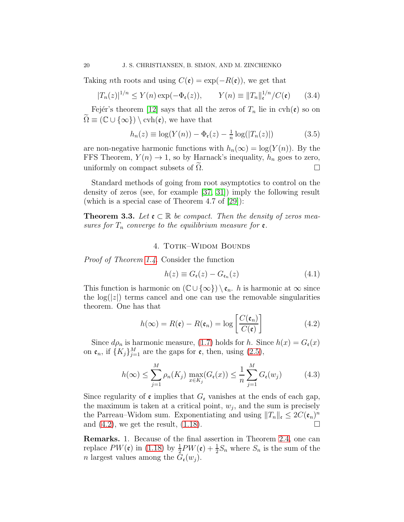Taking nth roots and using  $C(\mathfrak{e}) = \exp(-R(\mathfrak{e}))$ , we get that

$$
|T_n(z)|^{1/n} \le Y(n) \exp(-\Phi_{\mathfrak{e}}(z)), \qquad Y(n) \equiv ||T_n||_{\mathfrak{e}}^{1/n} / C(\mathfrak{e}) \qquad (3.4)
$$

Fejér's theorem [\[12\]](#page-26-14) says that all the zeros of  $T_n$  lie in  $\operatorname{cvh}(\mathfrak{e})$  so on  $\widetilde{\Omega} \equiv (\mathbb{C} \cup {\infty}) \setminus \mathrm{cvh}(\mathfrak{e}),$  we have that

$$
h_n(z) \equiv \log(Y(n)) - \Phi_{\mathfrak{e}}(z) - \frac{1}{n} \log(|T_n(z)|)
$$
 (3.5)

are non-negative harmonic functions with  $h_n(\infty) = \log(Y(n))$ . By the FFS Theorem,  $Y(n) \to 1$ , so by Harnack's inequality,  $h_n$  goes to zero, uniformly on compact subsets of  $\tilde{\Omega}$ . uniformly on compact subsets of  $\Omega$ .

Standard methods of going from root asymptotics to control on the density of zeros (see, for example [\[37,](#page-28-13) [31\]](#page-27-4)) imply the following result (which is a special case of Theorem 4.7 of [\[29\]](#page-27-20)):

<span id="page-19-2"></span><span id="page-19-0"></span>**Theorem 3.3.** Let  $\mathfrak{e} \subset \mathbb{R}$  be compact. Then the density of zeros mea*sures for*  $T_n$  *converge to the equilibrium measure for*  $\varepsilon$ *.* 

## 4. TOTIK-WIDOM BOUNDS

*Proof of Theorem [1.4.](#page-4-1)* Consider the function

$$
h(z) \equiv G_{\mathfrak{e}}(z) - G_{\mathfrak{e}_n}(z) \tag{4.1}
$$

This function is harmonic on  $(\mathbb{C}\cup\{\infty\})\setminus\mathfrak{e}_n$ . h is harmonic at  $\infty$  since the  $log(|z|)$  terms cancel and one can use the removable singularities theorem. One has that

<span id="page-19-1"></span>
$$
h(\infty) = R(\mathfrak{e}) - R(\mathfrak{e}_n) = \log \left[ \frac{C(\mathfrak{e}_n)}{C(\mathfrak{e})} \right]
$$
(4.2)

Since  $d\rho_n$  is harmonic measure, [\(1.7\)](#page-3-6) holds for h. Since  $h(x) = G_{\epsilon}(x)$ on  $\mathfrak{e}_n$ , if  $\{K_j\}_{j=1}^M$  are the gaps for  $\mathfrak{e}$ , then, using  $(2.5)$ ,

$$
h(\infty) \le \sum_{j=1}^{M} \rho_n(K_j) \max_{x \in K_j} (G_{\mathfrak{e}}(x)) \le \frac{1}{n} \sum_{j=1}^{M} G_{\mathfrak{e}}(w_j)
$$
(4.3)

Since regularity of  $\mathfrak e$  implies that  $G_{\mathfrak e}$  vanishes at the ends of each gap, the maximum is taken at a critical point,  $w_j$ , and the sum is precisely the Parreau–Widom sum. Exponentiating and using  $||T_n||_{\mathfrak{e}} \leq 2C(\mathfrak{e}_n)^n$ and [\(4.2\)](#page-19-1), we get the result, [\(1.18\)](#page-4-4).

Remarks. 1. Because of the final assertion in Theorem [2.4,](#page-12-3) one can replace  $PW(\mathfrak{e})$  in [\(1.18\)](#page-4-4) by  $\frac{1}{2}PW(\mathfrak{e})+\frac{1}{2}S_n$  where  $S_n$  is the sum of the *n* largest values among the  $G_{\epsilon}(w_i)$ .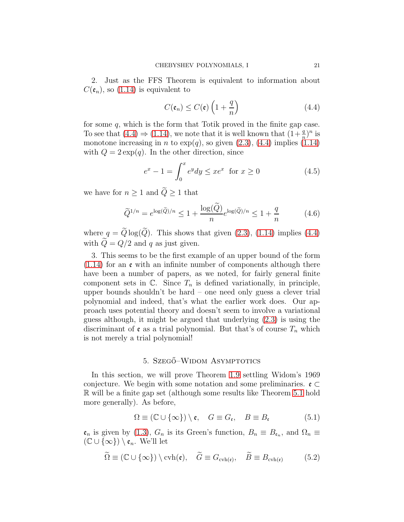2. Just as the FFS Theorem is equivalent to information about  $C(\mathfrak{e}_n)$ , so [\(1.14\)](#page-3-2) is equivalent to

<span id="page-20-1"></span>
$$
C(\mathfrak{e}_n) \le C(\mathfrak{e}) \left(1 + \frac{q}{n}\right) \tag{4.4}
$$

for some  $q$ , which is the form that Totik proved in the finite gap case. To see that  $(4.4) \Rightarrow (1.14)$  $(4.4) \Rightarrow (1.14)$ , we note that it is well known that  $(1+\frac{q}{n})^n$  is monotone increasing in *n* to  $exp(q)$ , so given  $(2.3)$ ,  $(4.4)$  implies  $(1.14)$ with  $Q = 2 \exp(q)$ . In the other direction, since

$$
e^{x} - 1 = \int_{0}^{x} e^{y} dy \le xe^{x} \text{ for } x \ge 0
$$
 (4.5)

we have for  $n\geq 1$  and  $\widetilde{Q}\geq 1$  that

$$
\widetilde{Q}^{1/n} = e^{\log(\widetilde{Q})/n} \le 1 + \frac{\log(Q)}{n} e^{\log(\widetilde{Q})/n} \le 1 + \frac{q}{n}
$$
 (4.6)

where  $q = \tilde{Q} \log(\tilde{Q})$ . This shows that given [\(2.3\)](#page-9-1), [\(1.14\)](#page-3-2) implies [\(4.4\)](#page-20-1) with  $\widetilde{Q}=Q/2$  and q as just given.

3. This seems to be the first example of an upper bound of the form  $(1.14)$  for an **e** with an infinite number of components although there have been a number of papers, as we noted, for fairly general finite component sets in  $\mathbb{C}$ . Since  $T_n$  is defined variationally, in principle, upper bounds shouldn't be hard – one need only guess a clever trial polynomial and indeed, that's what the earlier work does. Our approach uses potential theory and doesn't seem to involve a variational guess although, it might be argued that underlying [\(2.3\)](#page-9-1) is using the discriminant of  $\epsilon$  as a trial polynomial. But that's of course  $T_n$  which is not merely a trial polynomial!

### 5. Szegő–Widom Asymptotics

<span id="page-20-0"></span>In this section, we will prove Theorem [1.9](#page-8-1) settling Widom's 1969 conjecture. We begin with some notation and some preliminaries.  $\mathfrak{e} \subset$ R will be a finite gap set (although some results like Theorem [5.1](#page-22-0) hold more generally). As before,

$$
\Omega \equiv (\mathbb{C} \cup \{\infty\}) \setminus \mathfrak{e}, \quad G \equiv G_{\mathfrak{e}}, \quad B \equiv B_{\mathfrak{e}} \tag{5.1}
$$

 $\mathfrak{e}_n$  is given by [\(1.3\)](#page-2-0),  $G_n$  is its Green's function,  $B_n \equiv B_{\mathfrak{e}_n}$ , and  $\Omega_n \equiv$  $(\mathbb{C} \cup {\infty}) \setminus {\mathfrak{e}}_n$ . We'll let

$$
\widetilde{\Omega} \equiv (\mathbb{C} \cup \{ \infty \}) \setminus \operatorname{cvh}(\mathfrak{e}), \quad \widetilde{G} \equiv G_{\operatorname{cvh}(\mathfrak{e})}, \quad \widetilde{B} \equiv B_{\operatorname{cvh}(\mathfrak{e})} \tag{5.2}
$$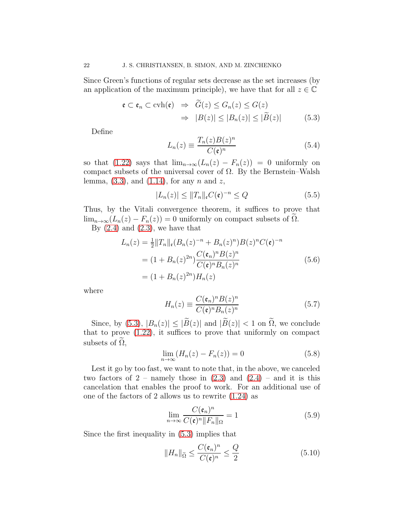Since Green's functions of regular sets decrease as the set increases (by an application of the maximum principle), we have that for all  $z \in \mathbb{C}$ 

<span id="page-21-0"></span>
$$
\begin{aligned} \mathfrak{e} \subset \mathfrak{e}_n \subset \operatorname{cvh}(\mathfrak{e}) &\Rightarrow \widetilde{G}(z) \le G_n(z) \le G(z) \\ &\Rightarrow |B(z)| \le |B_n(z)| \le |\widetilde{B}(z)| \end{aligned} \tag{5.3}
$$

Define

$$
L_n(z) \equiv \frac{T_n(z)B(z)^n}{C(\mathfrak{e})^n} \tag{5.4}
$$

so that [\(1.22\)](#page-7-1) says that  $\lim_{n\to\infty}(L_n(z) - F_n(z)) = 0$  uniformly on compact subsets of the universal cover of  $\Omega$ . By the Bernstein–Walsh lemma,  $(3.3)$ , and  $(1.14)$ , for any n and z,

$$
|L_n(z)| \le ||T_n||_{\mathfrak{e}} C(\mathfrak{e})^{-n} \le Q \tag{5.5}
$$

Thus, by the Vitali convergence theorem, it suffices to prove that  $\lim_{n\to\infty}(L_n(z) - F_n(z)) = 0$  uniformly on compact subsets of  $\tilde{\Omega}$ .

By  $(2.4)$  and  $(2.3)$ , we have that

$$
L_n(z) = \frac{1}{2} ||T_n||_{\mathfrak{e}} (B_n(z)^{-n} + B_n(z)^n) B(z)^n C(\mathfrak{e})^{-n}
$$
  
=  $(1 + B_n(z)^{2n}) \frac{C(\mathfrak{e}_n)^n B(z)^n}{C(\mathfrak{e})^n B_n(z)^n}$  (5.6)  
=  $(1 + B_n(z)^{2n}) H_n(z)$ 

where

$$
H_n(z) \equiv \frac{C(\mathfrak{e}_n)^n B(z)^n}{C(\mathfrak{e})^n B_n(z)^n} \tag{5.7}
$$

Since, by [\(5.3\)](#page-21-0),  $|B_n(z)| \leq |\widetilde{B}(z)|$  and  $|\widetilde{B}(z)| < 1$  on  $\widetilde{\Omega}$ , we conclude that to prove [\(1.22\)](#page-7-1), it suffices to prove that uniformly on compact subsets of  $\Omega$ ,

<span id="page-21-1"></span>
$$
\lim_{n \to \infty} (H_n(z) - F_n(z)) = 0 \tag{5.8}
$$

Lest it go by too fast, we want to note that, in the above, we canceled two factors of  $2$  – namely those in  $(2.3)$  and  $(2.4)$  – and it is this cancelation that enables the proof to work. For an additional use of one of the factors of 2 allows us to rewrite [\(1.24\)](#page-7-2) as

$$
\lim_{n \to \infty} \frac{C(\mathfrak{e}_n)^n}{C(\mathfrak{e})^n \|F_n\|_{\Omega}} = 1
$$
\n(5.9)

Since the first inequality in [\(5.3\)](#page-21-0) implies that

<span id="page-21-2"></span>
$$
||H_n||_{\widetilde{\Omega}} \le \frac{C(\mathfrak{e}_n)^n}{C(\mathfrak{e})^n} \le \frac{Q}{2}
$$
\n(5.10)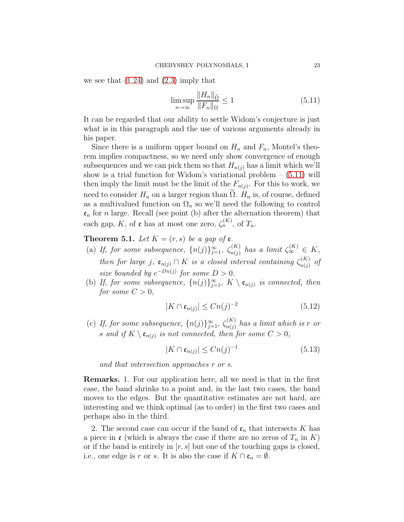we see that  $(1.24)$  and  $(2.3)$  imply that

<span id="page-22-1"></span>
$$
\limsup_{n \to \infty} \frac{\|H_n\|_{\Omega}}{\|F_n\|_{\Omega}} \le 1
$$
\n(5.11)

It can be regarded that our ability to settle Widom's conjecture is just what is in this paragraph and the use of various arguments already in his paper.

Since there is a uniform upper bound on  $H_n$  and  $F_n$ , Montel's theorem implies compactness, so we need only show convergence of enough subsequences and we can pick them so that  $H_{n(j)}$  has a limit which we'll show is a trial function for Widom's variational problem  $-$  [\(5.11\)](#page-22-1) will then imply the limit must be the limit of the  $F_{n(j)}$ . For this to work, we need to consider  $H_n$  on a larger region than  $\tilde{\Omega}$ .  $H_n$  is, of course, defined as a multivalued function on  $\Omega_n$  so we'll need the following to control  $\mathfrak{e}_n$  for *n* large. Recall (see point (b) after the alternation theorem) that each gap, K, of  $\mathfrak e$  has at most one zero,  $\zeta_n^{(K)}$ , of  $T_n$ .

<span id="page-22-0"></span>**Theorem 5.1.** Let  $K = (r, s)$  be a gap of **e**.

- (a) If, for some subsequence,  $\{n(j)\}_{j=1}^{\infty}$ ,  $\zeta_{n(j)}^{(K)}$  $\binom{K}{n(j)}$  has a limit  $\zeta_{\infty}^{(K)} \in K$ , *then for large j,*  $e_{n(j)} \cap K$  *is a closed interval containing*  $\zeta_{n(j)}^{(K)}$  $\binom{n}{n(j)}$  of size bounded by  $e^{-Dn(j)}$  for some  $D > 0$ .
- (b) If, for some subsequence,  $\{n(j)\}_{j=1}^{\infty}$ ,  $K \setminus \mathfrak{e}_{n(j)}$  is connected, then *for some*  $C > 0$ *,*

<span id="page-22-2"></span>
$$
|K \cap \mathfrak{e}_{n(j)}| \le Cn(j)^{-2} \tag{5.12}
$$

(c) If, for some subsequence,  $\{n(j)\}_{j=1}^{\infty}$ ,  $\zeta_{n(j)}^{(K)}$  $\binom{n(n)}{n(j)}$  has a limit which is r or *s* and if  $K \setminus \mathfrak{e}_{n(j)}$  is not connected, then for some  $C > 0$ ,

<span id="page-22-3"></span>
$$
|K \cap \mathfrak{e}_{n(j)}| \le Cn(j)^{-1} \tag{5.13}
$$

*and that intersection approaches r or s.*

Remarks. 1. For our application here, all we need is that in the first case, the band shrinks to a point and, in the last two cases, the band moves to the edges. But the quantitative estimates are not hard, are interesting and we think optimal (as to order) in the first two cases and perhaps also in the third.

2. The second case can occur if the band of  $\mathfrak{e}_n$  that intersects K has a piece in  $\mathfrak{e}$  (which is always the case if there are no zeros of  $T_n$  in K) or if the band is entirely in  $[r, s]$  but one of the touching gaps is closed, i.e., one edge is r or s. It is also the case if  $K \cap \mathfrak{e}_n = \emptyset$ .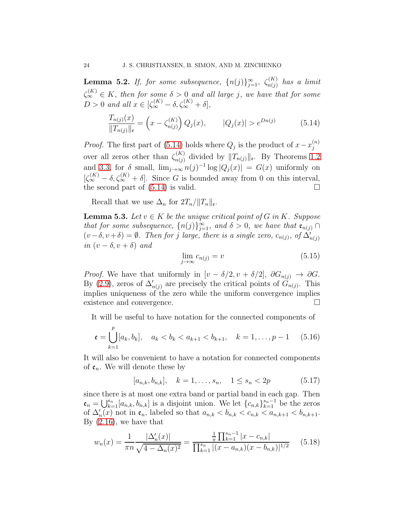<span id="page-23-1"></span>**Lemma 5.2.** *If, for some subsequence,*  $\{n(j)\}_{j=1}^{\infty}$ ,  $\zeta_{n(j)}^{(K)}$  $\binom{n}{n(j)}$  has a limit  $\zeta_{\infty}^{(K)} \in K$ , then for some  $\delta > 0$  and all large j, we have that for some  $D > 0$  and all  $x \in \left[\zeta_{\infty}^{(K)} - \delta, \zeta_{\infty}^{(K)} + \delta\right],$ 

<span id="page-23-0"></span>
$$
\frac{T_{n(j)}(x)}{\|T_{n(j)}\|_{\mathfrak{e}}} = \left(x - \zeta_{n(j)}^{(K)}\right) Q_j(x), \qquad |Q_j(x)| > e^{Dn(j)} \tag{5.14}
$$

*Proof.* The first part of [\(5.14\)](#page-23-0) holds where  $Q_j$  is the product of  $x - x_j^{(n)}$ j over all zeros other than  $\zeta_{n(i)}^{(K)}$  $\lim_{n(j)}$  divided by  $||T_{n(j)}||_{\epsilon}$ . By Theorems [1.2](#page-3-7) and [3.3,](#page-19-2) for  $\delta$  small,  $\lim_{j\to\infty} n(j)^{-1} \log |Q_j(x)| = G(x)$  uniformly on  $[\zeta_{\infty}^{(K)} - \delta, \zeta_{\infty}^{(K)} + \delta]$ . Since G is bounded away from 0 on this interval, the second part of  $(5.14)$  is valid.

Recall that we use  $\Delta_n$  for  $2T_n/\|T_n\|_{\mathfrak{e}}$ .

<span id="page-23-2"></span>**Lemma 5.3.** *Let*  $v \in K$  *be the unique critical point of*  $G$  *in*  $K$ *. Suppose that for some subsequence,*  $\{n(j)\}_{j=1}^{\infty}$ *, and*  $\delta > 0$ *, we have that*  $e_{n(j)} \cap$  $(v - \delta, v + \delta) = \emptyset$ . Then for j large, there is a single zero,  $c_{n(j)}$ , of  $\Delta'_{n(j)}$ *in*  $(v - \delta, v + \delta)$  *and* 

<span id="page-23-3"></span>
$$
\lim_{j \to \infty} c_{n(j)} = v \tag{5.15}
$$

*Proof.* We have that uniformly in  $[v - \delta/2, v + \delta/2], \partial G_{n(j)} \to \partial G$ . By [\(2.9\)](#page-10-2), zeros of  $\Delta'_{n(j)}$  are precisely the critical points of  $G_{n(j)}$ . This implies uniqueness of the zero while the uniform convergence implies existence and convergence.

It will be useful to have notation for the connected components of

$$
\mathfrak{e} = \bigcup_{k=1}^{p} [a_k, b_k], \quad a_k < b_k < a_{k+1} < b_{k+1}, \quad k = 1, \dots, p-1 \quad (5.16)
$$

It will also be convenient to have a notation for connected components of  $\mathfrak{e}_n$ . We will denote these by

$$
[a_{n,k}, b_{n,k}], \quad k = 1, \dots, s_n, \quad 1 \le s_n < 2p \tag{5.17}
$$

since there is at most one extra band or partial band in each gap. Then  $\mathfrak{e}_n = \bigcup_{k=1}^{s_n} [a_{n,k}, b_{n,k}]$  is a disjoint union. We let  $\{c_{n,k}\}_{k=1}^{s_n-1}$  be the zeros of  $\Delta'_{n}(x)$  not in  $e_n$ , labeled so that  $a_{n,k} < b_{n,k} < c_{n,k} < a_{n,k+1} < b_{n,k+1}$ . By [\(2.16\)](#page-13-0), we have that

$$
w_n(x) = \frac{1}{\pi n} \frac{|\Delta_n'(x)|}{\sqrt{4 - \Delta_n(x)^2}} = \frac{\frac{1}{\pi} \prod_{k=1}^{s_n - 1} |x - c_{n,k}|}{\prod_{k=1}^{s_n} |(x - a_{n,k})(x - b_{n,k})|^{1/2}}
$$
(5.18)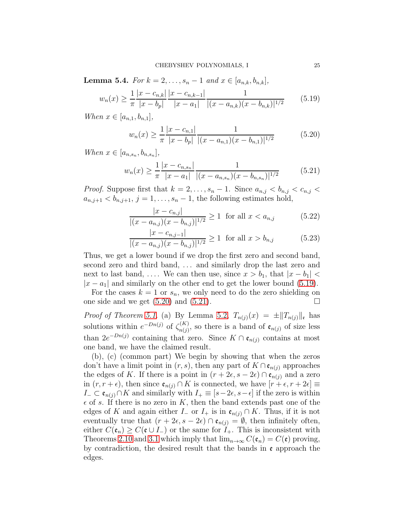**Lemma 5.4.** *For*  $k = 2, ..., s_n - 1$  *and*  $x \in [a_{n,k}, b_{n,k}]$ ,

<span id="page-24-0"></span>
$$
w_n(x) \ge \frac{1}{\pi} \frac{|x - c_{n,k}|}{|x - b_p|} \frac{|x - c_{n,k-1}|}{|x - a_1|} \frac{1}{|(x - a_{n,k})(x - b_{n,k})|^{1/2}}
$$
(5.19)

*When*  $x \in [a_{n,1}, b_{n,1}],$ 

<span id="page-24-1"></span>
$$
w_n(x) \ge \frac{1}{\pi} \frac{|x - c_{n,1}|}{|x - b_p|} \frac{1}{|(x - a_{n,1})(x - b_{n,1})|^{1/2}}
$$
(5.20)

*When*  $x \in [a_{n,s_n}, b_{n,s_n}],$ 

<span id="page-24-2"></span>
$$
w_n(x) \ge \frac{1}{\pi} \frac{|x - c_{n, s_n}|}{|x - a_1|} \frac{1}{|(x - a_{n, s_n})(x - b_{n, s_n})|^{1/2}}
$$
(5.21)

*Proof.* Suppose first that  $k = 2, \ldots, s_n - 1$ . Since  $a_{n,j} < b_{n,j} < c_{n,j}$  $a_{n,j+1} < b_{n,j+1}, j = 1, \ldots, s_n - 1$ , the following estimates hold,

$$
\frac{|x - c_{n,j}|}{|(x - a_{n,j})(x - b_{n,j})|^{1/2}} \ge 1 \quad \text{for all } x < a_{n,j} \tag{5.22}
$$

$$
\frac{|x - c_{n,j-1}|}{|(x - a_{n,j})(x - b_{n,j})|^{1/2}} \ge 1 \text{ for all } x > b_{n,j}
$$
 (5.23)

Thus, we get a lower bound if we drop the first zero and second band, second zero and third band, ... and similarly drop the last zero and next to last band, .... We can then use, since  $x > b_1$ , that  $|x - b_1|$  <  $|x - a_1|$  and similarly on the other end to get the lower bound [\(5.19\)](#page-24-0).

For the cases  $k = 1$  or  $s_n$ , we only need to do the zero shielding on one side and we get [\(5.20\)](#page-24-1) and [\(5.21\)](#page-24-2).

*Proof of Theorem [5.1.](#page-22-0)* (a) By Lemma [5.2,](#page-23-1)  $T_{n(j)}(x) = \pm \|T_{n(j)}\|_{\epsilon}$  has solutions within  $e^{-Dn(j)}$  of  $\zeta_{n(i)}^{(K)}$  $\mathfrak{e}_{n(j)}^{(\mathbf{A})}$ , so there is a band of  $\mathfrak{e}_{n(j)}$  of size less than  $2e^{-Dn(j)}$  containing that zero. Since  $K \cap \mathfrak{e}_{n(j)}$  contains at most one band, we have the claimed result.

(b), (c) (common part) We begin by showing that when the zeros don't have a limit point in  $(r, s)$ , then any part of  $K \cap \mathfrak{e}_{n(i)}$  approaches the edges of K. If there is a point in  $(r + 2\epsilon, s - 2\epsilon) \cap \mathfrak{e}_{n(j)}$  and a zero in  $(r, r + \epsilon)$ , then since  $\mathfrak{e}_{n(i)} \cap K$  is connected, we have  $[r + \epsilon, r + 2\epsilon] \equiv$  $I_-\subset \mathfrak{e}_{n(j)} \cap K$  and similarly with  $I_+ \equiv [s-2\epsilon, s-\epsilon]$  if the zero is within  $\epsilon$  of s. If there is no zero in K, then the band extends past one of the edges of K and again either  $I_$  or  $I_+$  is in  $\mathfrak{e}_{n(j)} \cap K$ . Thus, if it is not eventually true that  $(r + 2\epsilon, s - 2\epsilon) \cap \mathfrak{e}_{n(j)} = \emptyset$ , then infinitely often, either  $C(\mathfrak{e}_n) \geq C(\mathfrak{e} \cup I_-)$  or the same for  $I_+$ . This is inconsistent with Theorems [2.10](#page-11-0) and [3.1](#page-18-1) which imply that  $\lim_{n\to\infty} C(\mathfrak{e}_n) = C(\mathfrak{e})$  proving, by contradiction, the desired result that the bands in  $\epsilon$  approach the edges.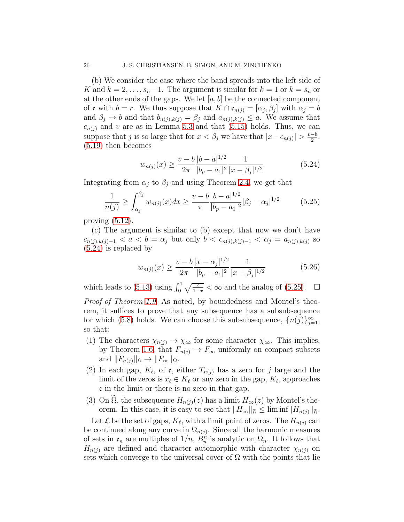(b) We consider the case where the band spreads into the left side of K and  $k = 2, \ldots, s_n-1$ . The argument is similar for  $k = 1$  or  $k = s_n$  or at the other ends of the gaps. We let  $[a, b]$  be the connected component of **e** with  $b = r$ . We thus suppose that  $K \cap e_{n(j)} = [\alpha_j, \beta_j]$  with  $\alpha_j = b$ and  $\beta_j \to b$  and that  $b_{n(j),k(j)} = \beta_j$  and  $a_{n(j),k(j)} \leq a$ . We assume that  $c_{n(j)}$  and v are as in Lemma [5.3](#page-23-2) and that [\(5.15\)](#page-23-3) holds. Thus, we can suppose that j is so large that for  $x < \beta_j$  we have that  $|x - c_{n(j)}| > \frac{v - b}{2}$  $\frac{-b}{2}$ . [\(5.19\)](#page-24-0) then becomes

<span id="page-25-0"></span>
$$
w_{n(j)}(x) \ge \frac{v - b}{2\pi} \frac{|b - a|^{1/2}}{|b_p - a_1|^2} \frac{1}{|x - \beta_j|^{1/2}} \tag{5.24}
$$

Integrating from  $\alpha_j$  to  $\beta_j$  and using Theorem [2.4,](#page-12-3) we get that

<span id="page-25-1"></span>
$$
\frac{1}{n(j)} \ge \int_{\alpha_j}^{\beta_j} w_{n(j)}(x) dx \ge \frac{v - b}{\pi} \frac{|b - a|^{1/2}}{|b_p - a_1|^2} |\beta_j - \alpha_j|^{1/2} \tag{5.25}
$$

proving  $(5.12)$ .

(c) The argument is similar to (b) except that now we don't have  $c_{n(j),k(j)-1} < a < b = \alpha_j$  but only  $b < c_{n(j),k(j)-1} < \alpha_j = a_{n(j),k(j)}$  so [\(5.24\)](#page-25-0) is replaced by

$$
w_{n(j)}(x) \ge \frac{v - b}{2\pi} \frac{|x - \alpha_j|^{1/2}}{|b_p - a_1|^2} \frac{1}{|x - \beta_j|^{1/2}} \tag{5.26}
$$

which leads to [\(5.13\)](#page-22-3) using  $\int_0^1 \sqrt{\frac{x}{1-x}} < \infty$  and the analog of [\(5.25\)](#page-25-1).  $\Box$ *Proof of Theorem [1.9.](#page-8-1)* As noted, by boundedness and Montel's theorem, it suffices to prove that any subsequence has a subsubsequence for which [\(5.8\)](#page-21-1) holds. We can choose this subsubsequence,  $\{n(j)\}_{j=1}^{\infty}$ , so that:

- (1) The characters  $\chi_{n(j)} \to \chi_{\infty}$  for some character  $\chi_{\infty}$ . This implies, by Theorem [1.6,](#page-6-0) that  $F_{n(j)} \to F_{\infty}$  uniformly on compact subsets and  $||F_{n(j)}||_{\Omega} \to ||F_{\infty}||_{\Omega}$ .
- (2) In each gap,  $K_{\ell}$ , of  $\epsilon$ , either  $T_{n(j)}$  has a zero for j large and the limit of the zeros is  $x_{\ell} \in K_{\ell}$  or any zero in the gap,  $K_{\ell}$ , approaches e in the limit or there is no zero in that gap.
- (3) On  $\Omega$ , the subsequence  $H_{n(j)}(z)$  has a limit  $H_{\infty}(z)$  by Montel's theorem. In this case, it is easy to see that  $||H_{\infty}||_{\tilde{\Omega}} \leq \liminf ||H_{n(j)}||_{\tilde{\Omega}}$ .

Let  $\mathcal L$  be the set of gaps,  $K_{\ell}$ , with a limit point of zeros. The  $H_{n(j)}$  can be continued along any curve in  $\Omega_{n(j)}$ . Since all the harmonic measures of sets in  $\mathfrak{e}_n$  are multiples of  $1/n$ ,  $B_n^n$  is analytic on  $\Omega_n$ . It follows that  $H_{n(j)}$  are defined and character automorphic with character  $\chi_{n(j)}$  on sets which converge to the universal cover of  $\Omega$  with the points that lie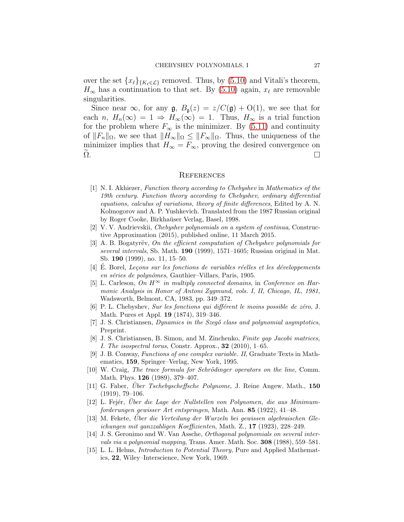over the set  ${x_\ell}_{K_\ell \in \mathcal{L}}$  removed. Thus, by [\(5.10\)](#page-21-2) and Vitali's theorem,  $H_{\infty}$  has a continuation to that set. By [\(5.10\)](#page-21-2) again,  $x_{\ell}$  are removable singularities.

Since near  $\infty$ , for any  $\mathfrak{g}, B_{\mathfrak{g}}(z) = z/C(\mathfrak{g}) + O(1)$ , we see that for each n,  $H_n(\infty) = 1 \Rightarrow H_\infty(\infty) = 1$ . Thus,  $H_\infty$  is a trial function for the problem where  $F_{\infty}$  is the minimizer. By [\(5.11\)](#page-22-1) and continuity of  $||F_n||_{\Omega}$ , we see that  $||H_{\infty}||_{\Omega} \le ||F_{\infty}||_{\Omega}$ . Thus, the uniqueness of the minimizer implies that  $H_{\infty} = F_{\infty}$ , proving the desired convergence on  $\Omega$ .

#### **REFERENCES**

- <span id="page-26-1"></span>[1] N. I. Akhiezer, Function theory according to Chebyshev in Mathematics of the 19th century. Function theory according to Chebyshev, ordinary differential equations, calculus of variations, theory of finite differences, Edited by A. N. Kolmogorov and A. P. Yushkevich. Translated from the 1987 Russian original by Roger Cooke, Birkha¨user Verlag, Basel, 1998.
- <span id="page-26-7"></span>[2] V. V. Andrievskii, Chebyshev polynomials on a system of continua, Constructive Approximation (2015), published online, 11 March 2015.
- <span id="page-26-13"></span>[3] A. B. Bogatyrëv, On the efficient computation of Chebyshev polynomials for several intervals, Sb. Math. 190 (1999), 1571–1605; Russian original in Mat. Sb. 190 (1999), no. 11, 15–50.
- <span id="page-26-0"></span> $[4]$  E. Borel, Leçons sur les fonctions de variables réelles et les développements en séries de polynômes, Gauthier–Villars, Paris, 1905.
- <span id="page-26-8"></span>[5] L. Carleson, On  $H^{\infty}$  in multiply connected domains, in Conference on Harmonic Analysis in Honor of Antoni Zygmund, vols. I, II, Chicago, IL, 1981, Wadsworth, Belmont, CA, 1983, pp. 349–372.
- <span id="page-26-2"></span> $[6]$  P. L. Chebyshev, Sur les fonctions qui différent le moins possible de zéro, J. Math. Pures et Appl. 19 (1874), 319–346.
- <span id="page-26-10"></span>[7] J. S. Christiansen, Dynamics in the Szegő class and polynomial asymptotics, Preprint.
- <span id="page-26-9"></span>[8] J. S. Christiansen, B. Simon, and M. Zinchenko, Finite gap Jacobi matrices, I. The isospectral torus, Constr. Approx.,  $32$  (2010), 1–65.
- <span id="page-26-4"></span>[9] J. B. Conway, Functions of one complex variable. II, Graduate Texts in Mathematics, 159, Springer–Verlag, New York, 1995.
- <span id="page-26-12"></span>[10] W. Craig, The trace formula for Schrödinger operators on the line, Comm. Math. Phys. 126 (1989), 379–407.
- <span id="page-26-5"></span> $[11]$  G. Faber, *Über Tschebyscheffsche Polynome*, J. Reine Angew. Math., 150 (1919), 79–106.
- <span id="page-26-14"></span>[12] L. Fejér, Uber die Lage der Nullstellen von Polynomen, die aus Minimumforderungen gewisser Art entspringen, Math. Ann. 85 (1922), 41–48.
- <span id="page-26-6"></span>[13] M. Fekete, Uber die Verteilung der Wurzeln bei gewissen algebraischen Gleichungen mit ganzzahligen Koeffizienten, Math. Z., 17 (1923), 228–249.
- <span id="page-26-11"></span>[14] J. S. Geronimo and W. Van Assche, Orthogonal polynomials on several intervals via a polynomial mapping, Trans. Amer. Math. Soc. 308 (1988), 559–581.
- <span id="page-26-3"></span>[15] L. L. Helms, Introduction to Potential Theory, Pure and Applied Mathematics, 22, Wiley–Interscience, New York, 1969.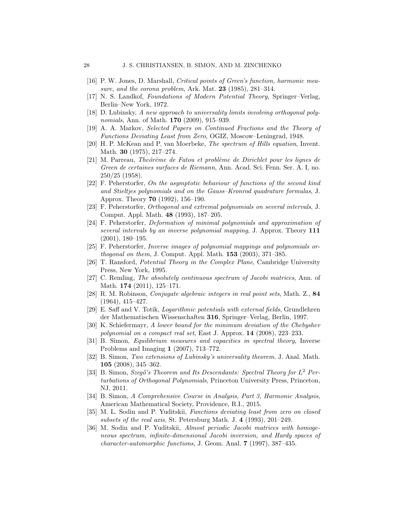- <span id="page-27-8"></span><span id="page-27-2"></span>[16] P. W. Jones, D. Marshall, Critical points of Green's function, harmonic measure, and the corona problem, Ark. Mat. 23 (1985), 281–314.
- <span id="page-27-16"></span>[17] N. S. Landkof, Foundations of Modern Potential Theory, Springer–Verlag, Berlin–New York, 1972.
- <span id="page-27-1"></span>[18] D. Lubinsky, A new approach to universality limits involving orthogonal polynomials, Ann. of Math. **170** (2009), 915–939.
- <span id="page-27-19"></span>[19] A. A. Markov, Selected Papers on Continued Fractions and the Theory of Functions Deviating Least from Zero, OGIZ, Moscow–Leningrad, 1948.
- [20] H. P. McKean and P. van Moerbeke, The spectrum of Hills equation, Invent. Math. 30 (1975), 217–274.
- <span id="page-27-7"></span> $[21]$  M. Parreau, Theórème de Fatou et problème de Dirichlet pour les lignes de Green de certaines surfaces de Riemann, Ann. Acad. Sci. Fenn. Ser. A. I, no. 250/25 (1958).
- <span id="page-27-10"></span>[22] F. Peherstorfer, On the asymptotic behaviour of functions of the second kind and Stieltjes polynomials and on the Gauss–Kronrod quadrature formulas, J. Approx. Theory 70 (1992), 156–190.
- <span id="page-27-11"></span>[23] F. Peherstorfer, Orthogonal and extremal polynomials on several intervals, J. Comput. Appl. Math. 48 (1993), 187–205.
- <span id="page-27-12"></span>[24] F. Peherstorfer, Deformation of minimal polynomials and approximation of several intervals by an inverse polynomial mapping, J. Approx. Theory 111 (2001), 180–195.
- <span id="page-27-13"></span>[25] F. Peherstorfer, Inverse images of polynomial mappings and polynomials orthogonal on them, J. Comput. Appl. Math. 153 (2003), 371–385.
- <span id="page-27-15"></span><span id="page-27-3"></span>[26] T. Ransford, Potential Theory in the Complex Plane, Cambridge University Press, New York, 1995.
- [27] C. Remling, The absolutely continuous spectrum of Jacobi matrices, Ann. of Math. 174 (2011), 125–171.
- <span id="page-27-18"></span>[28] R. M. Robinson, Conjugate algebraic integers in real point sets, Math. Z., 84 (1964), 415–427.
- <span id="page-27-20"></span>[29] E. Saff and V. Totik, Logarithmic potentials with external fields, Grundlehren der Mathematischen Wissenschaften 316, Springer–Verlag, Berlin, 1997.
- <span id="page-27-6"></span>[30] K. Schiefermayr, A lower bound for the minimum deviation of the Chebyshev polynomial on a compact real set, East J. Approx. 14 (2008), 223–233.
- <span id="page-27-4"></span>[31] B. Simon, Equilibrium measures and capacities in spectral theory, Inverse Problems and Imaging 1 (2007), 713–772.
- <span id="page-27-17"></span>[32] B. Simon, Two extensions of Lubinsky's universality theorem. J. Anal. Math. 105 (2008), 345–362.
- <span id="page-27-14"></span>[33] B. Simon, Szegő's Theorem and Its Descendants: Spectral Theory for  $L^2$  Perturbations of Orthogonal Polynomials, Princeton University Press, Princeton, NJ, 2011.
- <span id="page-27-5"></span>[34] B. Simon, A Comprehensive Course in Analysis, Part 3, Harmonic Analysis, American Mathematical Society, Providence, R.I., 2015.
- <span id="page-27-0"></span>[35] M. L. Sodin and P. Yuditskii, Functions deviating least from zero on closed subsets of the real axis, St. Petersburg Math. J. 4 (1993), 201–249.
- <span id="page-27-9"></span>[36] M. Sodin and P. Yuditskii, Almost periodic Jacobi matrices with homogeneous spectrum, infinite-dimensional Jacobi inversion, and Hardy spaces of character-automorphic functions, J. Geom. Anal. 7 (1997), 387–435.